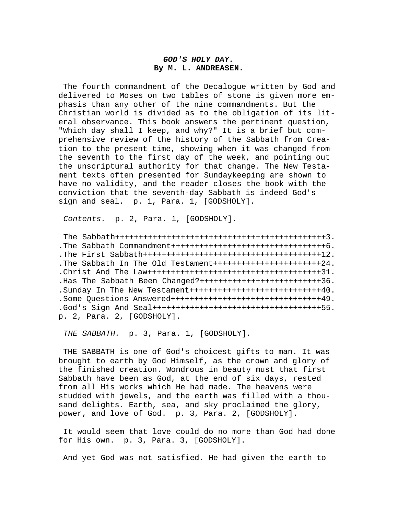## *GOD'S HOLY DAY.* **By M. L. ANDREASEN.**

 The fourth commandment of the Decalogue written by God and delivered to Moses on two tables of stone is given more emphasis than any other of the nine commandments. But the Christian world is divided as to the obligation of its literal observance. This book answers the pertinent question, "Which day shall I keep, and why?" It is a brief but comprehensive review of the history of the Sabbath from Creation to the present time, showing when it was changed from the seventh to the first day of the week, and pointing out the unscriptural authority for that change. The New Testament texts often presented for Sundaykeeping are shown to have no validity, and the reader closes the book with the conviction that the seventh-day Sabbath is indeed God's sign and seal. p. 1, Para. 1, [GODSHOLY].

 *Contents.* p. 2, Para. 1, [GODSHOLY].

 The Sabbath+++++++++++++++++++++++++++++++++++++++++++++3. .The Sabbath Commandment+++++++++++++++++++++++++++++++++6. .The First Sabbath++++++++++++++++++++++++++++++++++++++12. .The Sabbath In The Old Testament+++++++++++++++++++++++24. .Christ And The Law+++++++++++++++++++++++++++++++++++++31. .Has The Sabbath Been Changed?++++++++++++++++++++++++++36. .Sunday In The New Testament++++++++++++++++++++++++++++40. .Some Questions Answered++++++++++++++++++++++++++++++++49. .God's Sign And Seal++++++++++++++++++++++++++++++++++++55. p. 2, Para. 2, [GODSHOLY].

THE SABBATH. p. 3, Para. 1, [GODSHOLY].

 THE SABBATH is one of God's choicest gifts to man. It was brought to earth by God Himself, as the crown and glory of the finished creation. Wondrous in beauty must that first Sabbath have been as God, at the end of six days, rested from all His works which He had made. The heavens were studded with jewels, and the earth was filled with a thousand delights. Earth, sea, and sky proclaimed the glory, power, and love of God. p. 3, Para. 2, [GODSHOLY].

 It would seem that love could do no more than God had done for His own. p. 3, Para. 3, [GODSHOLY].

And yet God was not satisfied. He had given the earth to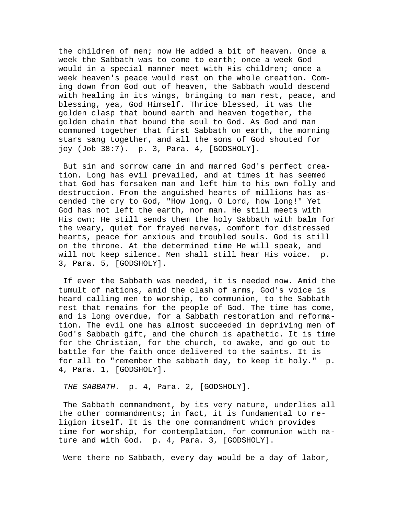the children of men; now He added a bit of heaven. Once a week the Sabbath was to come to earth; once a week God would in a special manner meet with His children; once a week heaven's peace would rest on the whole creation. Coming down from God out of heaven, the Sabbath would descend with healing in its wings, bringing to man rest, peace, and blessing, yea, God Himself. Thrice blessed, it was the golden clasp that bound earth and heaven together, the golden chain that bound the soul to God. As God and man communed together that first Sabbath on earth, the morning stars sang together, and all the sons of God shouted for joy (Job 38:7). p. 3, Para. 4, [GODSHOLY].

 But sin and sorrow came in and marred God's perfect creation. Long has evil prevailed, and at times it has seemed that God has forsaken man and left him to his own folly and destruction. From the anguished hearts of millions has ascended the cry to God, "How long, O Lord, how long!" Yet God has not left the earth, nor man. He still meets with His own; He still sends them the holy Sabbath with balm for the weary, quiet for frayed nerves, comfort for distressed hearts, peace for anxious and troubled souls. God is still on the throne. At the determined time He will speak, and will not keep silence. Men shall still hear His voice. p. 3, Para. 5, [GODSHOLY].

 If ever the Sabbath was needed, it is needed now. Amid the tumult of nations, amid the clash of arms, God's voice is heard calling men to worship, to communion, to the Sabbath rest that remains for the people of God. The time has come, and is long overdue, for a Sabbath restoration and reformation. The evil one has almost succeeded in depriving men of God's Sabbath gift, and the church is apathetic. It is time for the Christian, for the church, to awake, and go out to battle for the faith once delivered to the saints. It is for all to "remember the sabbath day, to keep it holy." p. 4, Para. 1, [GODSHOLY].

THE SABBATH. p. 4, Para. 2, [GODSHOLY].

 The Sabbath commandment, by its very nature, underlies all the other commandments; in fact, it is fundamental to religion itself. It is the one commandment which provides time for worship, for contemplation, for communion with nature and with God. p. 4, Para. 3, [GODSHOLY].

Were there no Sabbath, every day would be a day of labor,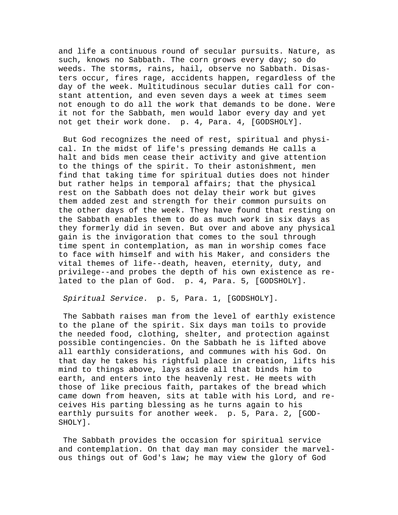and life a continuous round of secular pursuits. Nature, as such, knows no Sabbath. The corn grows every day; so do weeds. The storms, rains, hail, observe no Sabbath. Disasters occur, fires rage, accidents happen, regardless of the day of the week. Multitudinous secular duties call for constant attention, and even seven days a week at times seem not enough to do all the work that demands to be done. Were it not for the Sabbath, men would labor every day and yet not get their work done. p. 4, Para. 4, [GODSHOLY].

 But God recognizes the need of rest, spiritual and physical. In the midst of life's pressing demands He calls a halt and bids men cease their activity and give attention to the things of the spirit. To their astonishment, men find that taking time for spiritual duties does not hinder but rather helps in temporal affairs; that the physical rest on the Sabbath does not delay their work but gives them added zest and strength for their common pursuits on the other days of the week. They have found that resting on the Sabbath enables them to do as much work in six days as they formerly did in seven. But over and above any physical gain is the invigoration that comes to the soul through time spent in contemplation, as man in worship comes face to face with himself and with his Maker, and considers the vital themes of life--death, heaven, eternity, duty, and privilege--and probes the depth of his own existence as related to the plan of God. p. 4, Para. 5, [GODSHOLY].

 *Spiritual Service.* p. 5, Para. 1, [GODSHOLY].

 The Sabbath raises man from the level of earthly existence to the plane of the spirit. Six days man toils to provide the needed food, clothing, shelter, and protection against possible contingencies. On the Sabbath he is lifted above all earthly considerations, and communes with his God. On that day he takes his rightful place in creation, lifts his mind to things above, lays aside all that binds him to earth, and enters into the heavenly rest. He meets with those of like precious faith, partakes of the bread which came down from heaven, sits at table with his Lord, and receives His parting blessing as he turns again to his earthly pursuits for another week. p. 5, Para. 2, [GOD-SHOLY].

 The Sabbath provides the occasion for spiritual service and contemplation. On that day man may consider the marvelous things out of God's law; he may view the glory of God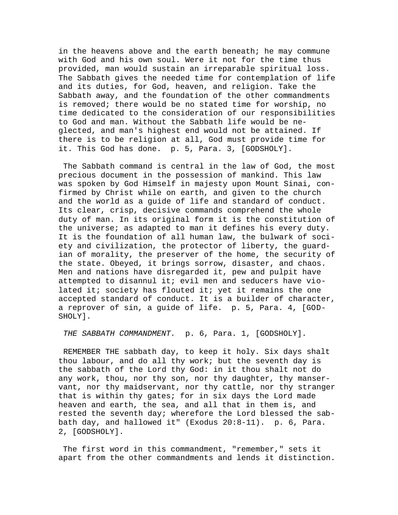in the heavens above and the earth beneath; he may commune with God and his own soul. Were it not for the time thus provided, man would sustain an irreparable spiritual loss. The Sabbath gives the needed time for contemplation of life and its duties, for God, heaven, and religion. Take the Sabbath away, and the foundation of the other commandments is removed; there would be no stated time for worship, no time dedicated to the consideration of our responsibilities to God and man. Without the Sabbath life would be neglected, and man's highest end would not be attained. If there is to be religion at all, God must provide time for it. This God has done. p. 5, Para. 3, [GODSHOLY].

 The Sabbath command is central in the law of God, the most precious document in the possession of mankind. This law was spoken by God Himself in majesty upon Mount Sinai, confirmed by Christ while on earth, and given to the church and the world as a guide of life and standard of conduct. Its clear, crisp, decisive commands comprehend the whole duty of man. In its original form it is the constitution of the universe; as adapted to man it defines his every duty. It is the foundation of all human law, the bulwark of society and civilization, the protector of liberty, the guardian of morality, the preserver of the home, the security of the state. Obeyed, it brings sorrow, disaster, and chaos. Men and nations have disregarded it, pew and pulpit have attempted to disannul it; evil men and seducers have violated it; society has flouted it; yet it remains the one accepted standard of conduct. It is a builder of character, a reprover of sin, a guide of life. p. 5, Para. 4, [GOD-SHOLY].

 *THE SABBATH COMMANDMENT.* p. 6, Para. 1, [GODSHOLY].

 REMEMBER THE sabbath day, to keep it holy. Six days shalt thou labour, and do all thy work; but the seventh day is the sabbath of the Lord thy God: in it thou shalt not do any work, thou, nor thy son, nor thy daughter, thy manservant, nor thy maidservant, nor thy cattle, nor thy stranger that is within thy gates; for in six days the Lord made heaven and earth, the sea, and all that in them is, and rested the seventh day; wherefore the Lord blessed the sabbath day, and hallowed it" (Exodus 20:8-11). p. 6, Para. 2, [GODSHOLY].

 The first word in this commandment, "remember," sets it apart from the other commandments and lends it distinction.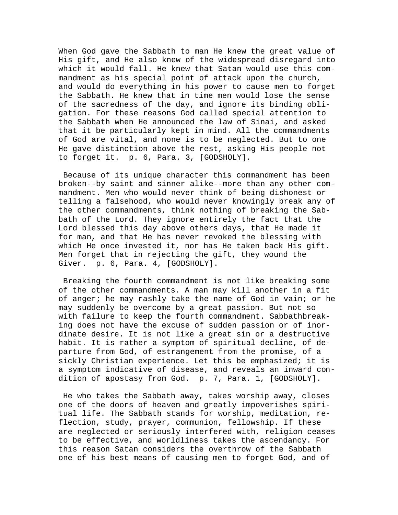When God gave the Sabbath to man He knew the great value of His gift, and He also knew of the widespread disregard into which it would fall. He knew that Satan would use this commandment as his special point of attack upon the church, and would do everything in his power to cause men to forget the Sabbath. He knew that in time men would lose the sense of the sacredness of the day, and ignore its binding obligation. For these reasons God called special attention to the Sabbath when He announced the law of Sinai, and asked that it be particularly kept in mind. All the commandments of God are vital, and none is to be neglected. But to one He gave distinction above the rest, asking His people not to forget it. p. 6, Para. 3, [GODSHOLY].

 Because of its unique character this commandment has been broken--by saint and sinner alike--more than any other commandment. Men who would never think of being dishonest or telling a falsehood, who would never knowingly break any of the other commandments, think nothing of breaking the Sabbath of the Lord. They ignore entirely the fact that the Lord blessed this day above others days, that He made it for man, and that He has never revoked the blessing with which He once invested it, nor has He taken back His gift. Men forget that in rejecting the gift, they wound the Giver. p. 6, Para. 4, [GODSHOLY].

 Breaking the fourth commandment is not like breaking some of the other commandments. A man may kill another in a fit of anger; he may rashly take the name of God in vain; or he may suddenly be overcome by a great passion. But not so with failure to keep the fourth commandment. Sabbathbreaking does not have the excuse of sudden passion or of inordinate desire. It is not like a great sin or a destructive habit. It is rather a symptom of spiritual decline, of departure from God, of estrangement from the promise, of a sickly Christian experience. Let this be emphasized; it is a symptom indicative of disease, and reveals an inward condition of apostasy from God. p. 7, Para. 1, [GODSHOLY].

 He who takes the Sabbath away, takes worship away, closes one of the doors of heaven and greatly impoverishes spiritual life. The Sabbath stands for worship, meditation, reflection, study, prayer, communion, fellowship. If these are neglected or seriously interfered with, religion ceases to be effective, and worldliness takes the ascendancy. For this reason Satan considers the overthrow of the Sabbath one of his best means of causing men to forget God, and of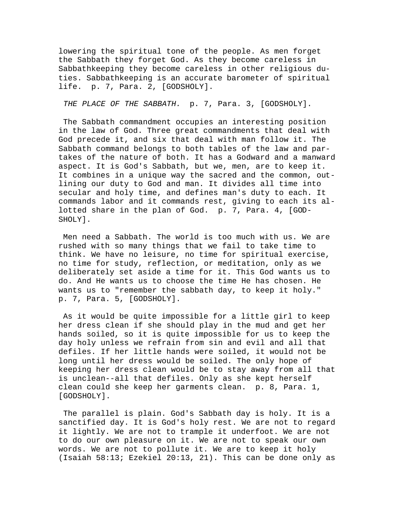lowering the spiritual tone of the people. As men forget the Sabbath they forget God. As they become careless in Sabbathkeeping they become careless in other religious duties. Sabbathkeeping is an accurate barometer of spiritual life. p. 7, Para. 2, [GODSHOLY].

 *THE PLACE OF THE SABBATH.* p. 7, Para. 3, [GODSHOLY].

 The Sabbath commandment occupies an interesting position in the law of God. Three great commandments that deal with God precede it, and six that deal with man follow it. The Sabbath command belongs to both tables of the law and partakes of the nature of both. It has a Godward and a manward aspect. It is God's Sabbath, but we, men, are to keep it. It combines in a unique way the sacred and the common, outlining our duty to God and man. It divides all time into secular and holy time, and defines man's duty to each. It commands labor and it commands rest, giving to each its allotted share in the plan of God. p. 7, Para. 4, [GOD-SHOLY].

 Men need a Sabbath. The world is too much with us. We are rushed with so many things that we fail to take time to think. We have no leisure, no time for spiritual exercise, no time for study, reflection, or meditation, only as we deliberately set aside a time for it. This God wants us to do. And He wants us to choose the time He has chosen. He wants us to "remember the sabbath day, to keep it holy." p. 7, Para. 5, [GODSHOLY].

 As it would be quite impossible for a little girl to keep her dress clean if she should play in the mud and get her hands soiled, so it is quite impossible for us to keep the day holy unless we refrain from sin and evil and all that defiles. If her little hands were soiled, it would not be long until her dress would be soiled. The only hope of keeping her dress clean would be to stay away from all that is unclean--all that defiles. Only as she kept herself clean could she keep her garments clean. p. 8, Para. 1, [GODSHOLY].

 The parallel is plain. God's Sabbath day is holy. It is a sanctified day. It is God's holy rest. We are not to regard it lightly. We are not to trample it underfoot. We are not to do our own pleasure on it. We are not to speak our own words. We are not to pollute it. We are to keep it holy (Isaiah 58:13; Ezekiel 20:13, 21). This can be done only as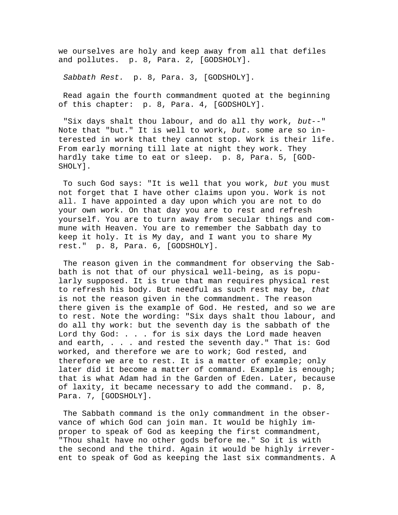we ourselves are holy and keep away from all that defiles and pollutes. p. 8, Para. 2, [GODSHOLY].

 *Sabbath Rest.* p. 8, Para. 3, [GODSHOLY].

 Read again the fourth commandment quoted at the beginning of this chapter: p. 8, Para. 4, [GODSHOLY].

 "Six days shalt thou labour, and do all thy work, *but*--" Note that "but." It is well to work, *but.* some are so interested in work that they cannot stop. Work is their life. From early morning till late at night they work. They hardly take time to eat or sleep. p. 8, Para. 5, [GOD-SHOLY].

 To such God says: "It is well that you work, *but* you must not forget that I have other claims upon you. Work is not all. I have appointed a day upon which you are not to do your own work. On that day you are to rest and refresh yourself. You are to turn away from secular things and commune with Heaven. You are to remember the Sabbath day to keep it holy. It is My day, and I want you to share My rest." p. 8, Para. 6, [GODSHOLY].

 The reason given in the commandment for observing the Sabbath is not that of our physical well-being, as is popularly supposed. It is true that man requires physical rest to refresh his body. But needful as such rest may be, *that* is not the reason given in the commandment. The reason there given is the example of God. He rested, and so we are to rest. Note the wording: "Six days shalt thou labour, and do all thy work: but the seventh day is the sabbath of the Lord thy God: . . . for is six days the Lord made heaven and earth, . . . and rested the seventh day." That is: God worked, and therefore we are to work; God rested, and therefore we are to rest. It is a matter of example; only later did it become a matter of command. Example is enough; that is what Adam had in the Garden of Eden. Later, because of laxity, it became necessary to add the command. p. 8, Para. 7, [GODSHOLY].

 The Sabbath command is the only commandment in the observance of which God can join man. It would be highly improper to speak of God as keeping the first commandment, "Thou shalt have no other gods before me." So it is with the second and the third. Again it would be highly irreverent to speak of God as keeping the last six commandments. A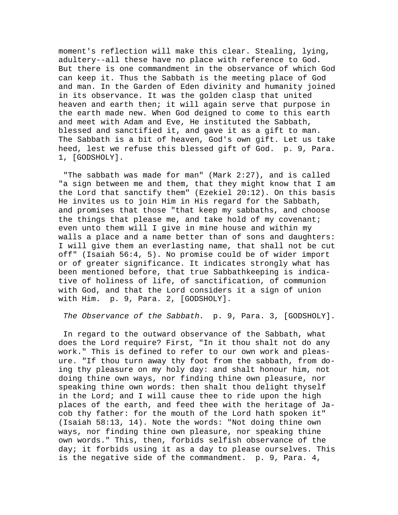moment's reflection will make this clear. Stealing, lying, adultery--all these have no place with reference to God. But there is one commandment in the observance of which God can keep it. Thus the Sabbath is the meeting place of God and man. In the Garden of Eden divinity and humanity joined in its observance. It was the golden clasp that united heaven and earth then; it will again serve that purpose in the earth made new. When God deigned to come to this earth and meet with Adam and Eve, He instituted the Sabbath, blessed and sanctified it, and gave it as a gift to man. The Sabbath is a bit of heaven, God's own gift. Let us take heed, lest we refuse this blessed gift of God. p. 9, Para. 1, [GODSHOLY].

 "The sabbath was made for man" (Mark 2:27), and is called "a sign between me and them, that they might know that I am the Lord that sanctify them" (Ezekiel 20:12). On this basis He invites us to join Him in His regard for the Sabbath, and promises that those "that keep my sabbaths, and choose the things that please me, and take hold of my covenant; even unto them will I give in mine house and within my walls a place and a name better than of sons and daughters: I will give them an everlasting name, that shall not be cut off" (Isaiah 56:4, 5). No promise could be of wider import or of greater significance. It indicates strongly what has been mentioned before, that true Sabbathkeeping is indicative of holiness of life, of sanctification, of communion with God, and that the Lord considers it a sign of union with Him. p. 9, Para. 2, [GODSHOLY].

 *The Observance of the Sabbath.* p. 9, Para. 3, [GODSHOLY].

 In regard to the outward observance of the Sabbath, what does the Lord require? First, "In it thou shalt not do any work." This is defined to refer to our own work and pleasure. "If thou turn away thy foot from the sabbath, from doing thy pleasure on my holy day: and shalt honour him, not doing thine own ways, nor finding thine own pleasure, nor speaking thine own words: then shalt thou delight thyself in the Lord; and I will cause thee to ride upon the high places of the earth, and feed thee with the heritage of Jacob thy father: for the mouth of the Lord hath spoken it" (Isaiah 58:13, 14). Note the words: "Not doing thine own ways, nor finding thine own pleasure, nor speaking thine own words." This, then, forbids selfish observance of the day; it forbids using it as a day to please ourselves. This is the negative side of the commandment. p. 9, Para. 4,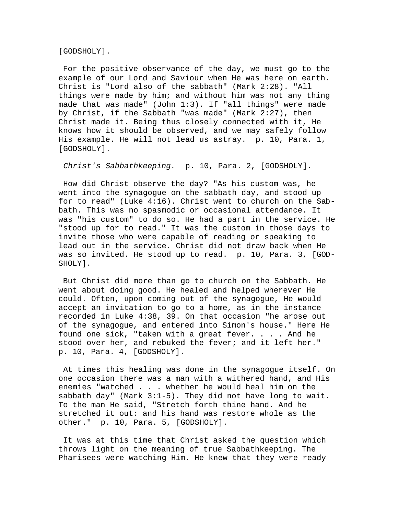[GODSHOLY].

 For the positive observance of the day, we must go to the example of our Lord and Saviour when He was here on earth. Christ is "Lord also of the sabbath" (Mark 2:28). "All things were made by him; and without him was not any thing made that was made" (John 1:3). If "all things" were made by Christ, if the Sabbath "was made" (Mark 2:27), then Christ made it. Being thus closely connected with it, He knows how it should be observed, and we may safely follow His example. He will not lead us astray. p. 10, Para. 1, [GODSHOLY].

 *Christ's Sabbathkeeping.* p. 10, Para. 2, [GODSHOLY].

 How did Christ observe the day? "As his custom was, he went into the synagogue on the sabbath day, and stood up for to read" (Luke 4:16). Christ went to church on the Sabbath. This was no spasmodic or occasional attendance. It was "his custom" to do so. He had a part in the service. He "stood up for to read." It was the custom in those days to invite those who were capable of reading or speaking to lead out in the service. Christ did not draw back when He was so invited. He stood up to read. p. 10, Para. 3, [GOD-SHOLY].

 But Christ did more than go to church on the Sabbath. He went about doing good. He healed and helped wherever He could. Often, upon coming out of the synagogue, He would accept an invitation to go to a home, as in the instance recorded in Luke 4:38, 39. On that occasion "he arose out of the synagogue, and entered into Simon's house." Here He found one sick, "taken with a great fever. . . . And he stood over her, and rebuked the fever; and it left her." p. 10, Para. 4, [GODSHOLY].

 At times this healing was done in the synagogue itself. On one occasion there was a man with a withered hand, and His enemies "watched . . . whether he would heal him on the sabbath day" (Mark 3:1-5). They did not have long to wait. To the man He said, "Stretch forth thine hand. And he stretched it out: and his hand was restore whole as the other." p. 10, Para. 5, [GODSHOLY].

 It was at this time that Christ asked the question which throws light on the meaning of true Sabbathkeeping. The Pharisees were watching Him. He knew that they were ready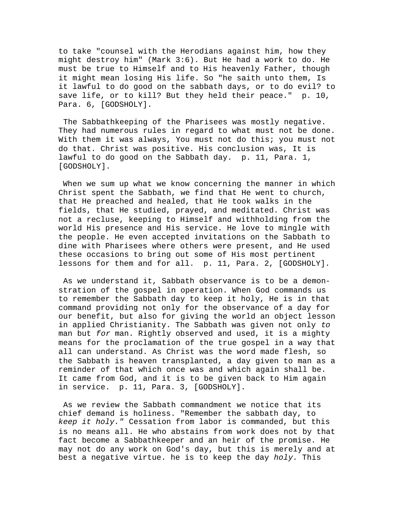to take "counsel with the Herodians against him, how they might destroy him" (Mark 3:6). But He had a work to do. He must be true to Himself and to His heavenly Father, though it might mean losing His life. So "he saith unto them, Is it lawful to do good on the sabbath days, or to do evil? to save life, or to kill? But they held their peace." p. 10, Para. 6, [GODSHOLY].

 The Sabbathkeeping of the Pharisees was mostly negative. They had numerous rules in regard to what must not be done. With them it was always, You must not do this; you must not do that. Christ was positive. His conclusion was, It is lawful to do good on the Sabbath day. p. 11, Para. 1, [GODSHOLY].

 When we sum up what we know concerning the manner in which Christ spent the Sabbath, we find that He went to church, that He preached and healed, that He took walks in the fields, that He studied, prayed, and meditated. Christ was not a recluse, keeping to Himself and withholding from the world His presence and His service. He love to mingle with the people. He even accepted invitations on the Sabbath to dine with Pharisees where others were present, and He used these occasions to bring out some of His most pertinent lessons for them and for all. p. 11, Para. 2, [GODSHOLY].

 As we understand it, Sabbath observance is to be a demonstration of the gospel in operation. When God commands us to remember the Sabbath day to keep it holy, He is in that command providing not only for the observance of a day for our benefit, but also for giving the world an object lesson in applied Christianity. The Sabbath was given not only *to* man but *for* man. Rightly observed and used, it is a mighty means for the proclamation of the true gospel in a way that all can understand. As Christ was the word made flesh, so the Sabbath is heaven transplanted, a day given to man as a reminder of that which once was and which again shall be. It came from God, and it is to be given back to Him again in service. p. 11, Para. 3, [GODSHOLY].

 As we review the Sabbath commandment we notice that its chief demand is holiness. "Remember the sabbath day, to *keep it holy."* Cessation from labor is commanded, but this is no means all. He who abstains from work does not by that fact become a Sabbathkeeper and an heir of the promise. He may not do any work on God's day, but this is merely and at best a negative virtue. he is to keep the day *holy.* This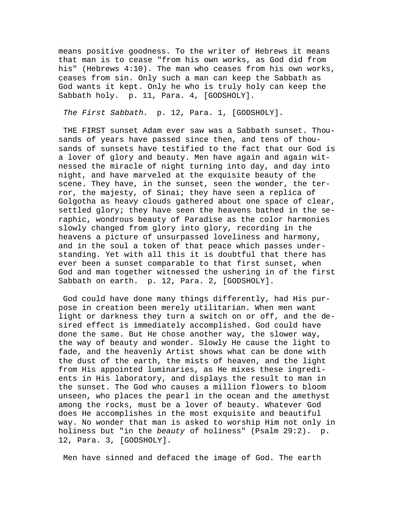means positive goodness. To the writer of Hebrews it means that man is to cease "from his own works, as God did from his" (Hebrews 4:10). The man who ceases from his own works, ceases from sin. Only such a man can keep the Sabbath as God wants it kept. Only he who is truly holy can keep the Sabbath holy. p. 11, Para. 4, [GODSHOLY].

 *The First Sabbath.* p. 12, Para. 1, [GODSHOLY].

 THE FIRST sunset Adam ever saw was a Sabbath sunset. Thousands of years have passed since then, and tens of thousands of sunsets have testified to the fact that our God is a lover of glory and beauty. Men have again and again witnessed the miracle of night turning into day, and day into night, and have marveled at the exquisite beauty of the scene. They have, in the sunset, seen the wonder, the terror, the majesty, of Sinai; they have seen a replica of Golgotha as heavy clouds gathered about one space of clear, settled glory; they have seen the heavens bathed in the seraphic, wondrous beauty of Paradise as the color harmonies slowly changed from glory into glory, recording in the heavens a picture of unsurpassed loveliness and harmony, and in the soul a token of that peace which passes understanding. Yet with all this it is doubtful that there has ever been a sunset comparable to that first sunset, when God and man together witnessed the ushering in of the first Sabbath on earth. p. 12, Para. 2, [GODSHOLY].

 God could have done many things differently, had His purpose in creation been merely utilitarian. When men want light or darkness they turn a switch on or off, and the desired effect is immediately accomplished. God could have done the same. But He chose another way, the slower way, the way of beauty and wonder. Slowly He cause the light to fade, and the heavenly Artist shows what can be done with the dust of the earth, the mists of heaven, and the light from His appointed luminaries, as He mixes these ingredients in His laboratory, and displays the result to man in the sunset. The God who causes a million flowers to bloom unseen, who places the pearl in the ocean and the amethyst among the rocks, must be a lover of beauty. Whatever God does He accomplishes in the most exquisite and beautiful way. No wonder that man is asked to worship Him not only in holiness but "in the *beauty* of holiness" (Psalm 29:2). p. 12, Para. 3, [GODSHOLY].

Men have sinned and defaced the image of God. The earth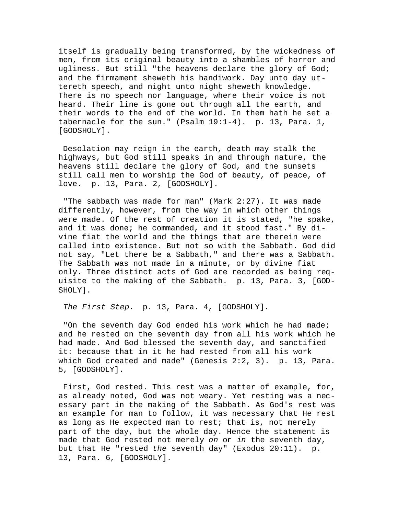itself is gradually being transformed, by the wickedness of men, from its original beauty into a shambles of horror and ugliness. But still "the heavens declare the glory of God; and the firmament sheweth his handiwork. Day unto day uttereth speech, and night unto night sheweth knowledge. There is no speech nor language, where their voice is not heard. Their line is gone out through all the earth, and their words to the end of the world. In them hath he set a tabernacle for the sun." (Psalm 19:1-4). p. 13, Para. 1, [GODSHOLY].

 Desolation may reign in the earth, death may stalk the highways, but God still speaks in and through nature, the heavens still declare the glory of God, and the sunsets still call men to worship the God of beauty, of peace, of love. p. 13, Para. 2, [GODSHOLY].

 "The sabbath was made for man" (Mark 2:27). It was made differently, however, from the way in which other things were made. Of the rest of creation it is stated, "he spake, and it was done; he commanded, and it stood fast." By divine fiat the world and the things that are therein were called into existence. But not so with the Sabbath. God did not say, "Let there be a Sabbath," and there was a Sabbath. The Sabbath was not made in a minute, or by divine fiat only. Three distinct acts of God are recorded as being requisite to the making of the Sabbath. p. 13, Para. 3, [GOD-SHOLY].

 *The First Step.* p. 13, Para. 4, [GODSHOLY].

"On the seventh day God ended his work which he had made; and he rested on the seventh day from all his work which he had made. And God blessed the seventh day, and sanctified it: because that in it he had rested from all his work which God created and made" (Genesis 2:2, 3). p. 13, Para. 5, [GODSHOLY].

 First, God rested. This rest was a matter of example, for, as already noted, God was not weary. Yet resting was a necessary part in the making of the Sabbath. As God's rest was an example for man to follow, it was necessary that He rest as long as He expected man to rest; that is, not merely part of the day, but the whole day. Hence the statement is made that God rested not merely *on* or *in* the seventh day, but that He "rested *the* seventh day" (Exodus 20:11). p. 13, Para. 6, [GODSHOLY].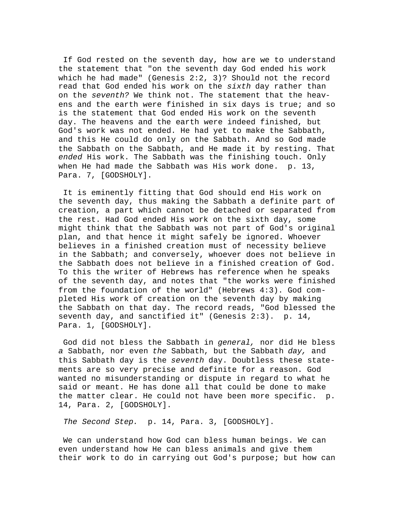If God rested on the seventh day, how are we to understand the statement that "on the seventh day God ended his work which he had made" (Genesis 2:2, 3)? Should not the record read that God ended his work on the *sixth* day rather than on the *seventh?* We think not. The statement that the heavens and the earth were finished in six days is true; and so is the statement that God ended His work on the seventh day. The heavens and the earth were indeed finished, but God's work was not ended. He had yet to make the Sabbath, and this He could do only on the Sabbath. And so God made the Sabbath on the Sabbath, and He made it by resting. That *ended* His work. The Sabbath was the finishing touch. Only when He had made the Sabbath was His work done. p. 13, Para. 7, [GODSHOLY].

 It is eminently fitting that God should end His work on the seventh day, thus making the Sabbath a definite part of creation, a part which cannot be detached or separated from the rest. Had God ended His work on the sixth day, some might think that the Sabbath was not part of God's original plan, and that hence it might safely be ignored. Whoever believes in a finished creation must of necessity believe in the Sabbath; and conversely, whoever does not believe in the Sabbath does not believe in a finished creation of God. To this the writer of Hebrews has reference when he speaks of the seventh day, and notes that "the works were finished from the foundation of the world" (Hebrews 4:3). God completed His work of creation on the seventh day by making the Sabbath on that day. The record reads, "God blessed the seventh day, and sanctified it" (Genesis 2:3). p. 14, Para. 1, [GODSHOLY].

 God did not bless the Sabbath in *general,* nor did He bless *a* Sabbath, nor even *the* Sabbath, but the Sabbath *day,* and this Sabbath day is the *seventh* day. Doubtless these statements are so very precise and definite for a reason. God wanted no misunderstanding or dispute in regard to what he said or meant. He has done all that could be done to make the matter clear. He could not have been more specific. p. 14, Para. 2, [GODSHOLY].

 *The Second Step.* p. 14, Para. 3, [GODSHOLY].

 We can understand how God can bless human beings. We can even understand how He can bless animals and give them their work to do in carrying out God's purpose; but how can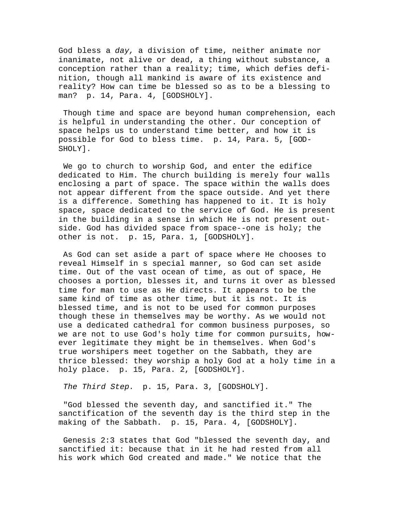God bless a *day,* a division of time, neither animate nor inanimate, not alive or dead, a thing without substance, a conception rather than a reality; time, which defies definition, though all mankind is aware of its existence and reality? How can time be blessed so as to be a blessing to man? p. 14, Para. 4, [GODSHOLY].

 Though time and space are beyond human comprehension, each is helpful in understanding the other. Our conception of space helps us to understand time better, and how it is possible for God to bless time. p. 14, Para. 5, [GOD-SHOLY].

 We go to church to worship God, and enter the edifice dedicated to Him. The church building is merely four walls enclosing a part of space. The space within the walls does not appear different from the space outside. And yet there is a difference. Something has happened to it. It is holy space, space dedicated to the service of God. He is present in the building in a sense in which He is not present outside. God has divided space from space--one is holy; the other is not. p. 15, Para. 1, [GODSHOLY].

 As God can set aside a part of space where He chooses to reveal Himself in s special manner, so God can set aside time. Out of the vast ocean of time, as out of space, He chooses a portion, blesses it, and turns it over as blessed time for man to use as He directs. It appears to be the same kind of time as other time, but it is not. It is blessed time, and is not to be used for common purposes though these in themselves may be worthy. As we would not use a dedicated cathedral for common business purposes, so we are not to use God's holy time for common pursuits, however legitimate they might be in themselves. When God's true worshipers meet together on the Sabbath, they are thrice blessed: they worship a holy God at a holy time in a holy place. p. 15, Para. 2, [GODSHOLY].

 *The Third Step.* p. 15, Para. 3, [GODSHOLY].

 "God blessed the seventh day, and sanctified it." The sanctification of the seventh day is the third step in the making of the Sabbath. p. 15, Para. 4, [GODSHOLY].

 Genesis 2:3 states that God "blessed the seventh day, and sanctified it: because that in it he had rested from all his work which God created and made." We notice that the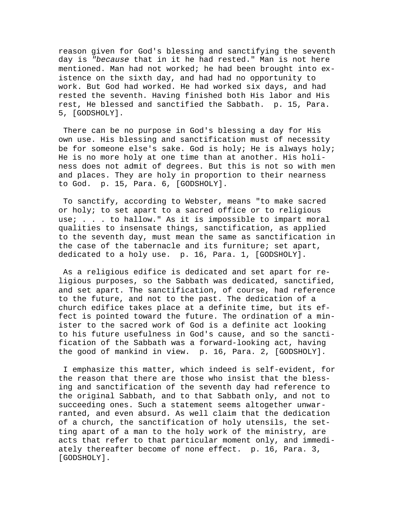reason given for God's blessing and sanctifying the seventh day is *"because* that in it he had rested." Man is not here mentioned. Man had not worked; he had been brought into existence on the sixth day, and had had no opportunity to work. But God had worked. He had worked six days, and had rested the seventh. Having finished both His labor and His rest, He blessed and sanctified the Sabbath. p. 15, Para. 5, [GODSHOLY].

 There can be no purpose in God's blessing a day for His own use. His blessing and sanctification must of necessity be for someone else's sake. God is holy; He is always holy; He is no more holy at one time than at another. His holiness does not admit of degrees. But this is not so with men and places. They are holy in proportion to their nearness to God. p. 15, Para. 6, [GODSHOLY].

 To sanctify, according to Webster, means "to make sacred or holy; to set apart to a sacred office or to religious use; . . . to hallow." As it is impossible to impart moral qualities to insensate things, sanctification, as applied to the seventh day, must mean the same as sanctification in the case of the tabernacle and its furniture; set apart, dedicated to a holy use. p. 16, Para. 1, [GODSHOLY].

 As a religious edifice is dedicated and set apart for religious purposes, so the Sabbath was dedicated, sanctified, and set apart. The sanctification, of course, had reference to the future, and not to the past. The dedication of a church edifice takes place at a definite time, but its effect is pointed toward the future. The ordination of a minister to the sacred work of God is a definite act looking to his future usefulness in God's cause, and so the sanctification of the Sabbath was a forward-looking act, having the good of mankind in view. p. 16, Para. 2, [GODSHOLY].

 I emphasize this matter, which indeed is self-evident, for the reason that there are those who insist that the blessing and sanctification of the seventh day had reference to the original Sabbath, and to that Sabbath only, and not to succeeding ones. Such a statement seems altogether unwarranted, and even absurd. As well claim that the dedication of a church, the sanctification of holy utensils, the setting apart of a man to the holy work of the ministry, are acts that refer to that particular moment only, and immediately thereafter become of none effect. p. 16, Para. 3, [GODSHOLY].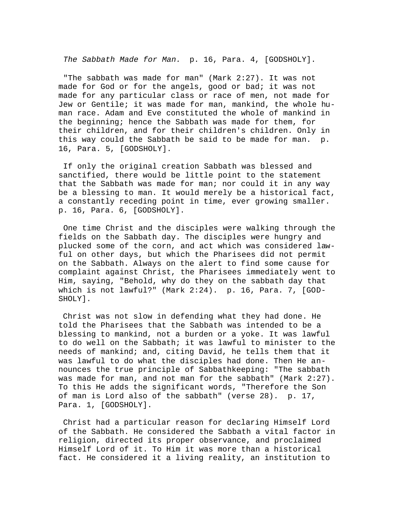*The Sabbath Made for Man.* p. 16, Para. 4, [GODSHOLY].

 "The sabbath was made for man" (Mark 2:27). It was not made for God or for the angels, good or bad; it was not made for any particular class or race of men, not made for Jew or Gentile; it was made for man, mankind, the whole human race. Adam and Eve constituted the whole of mankind in the beginning; hence the Sabbath was made for them, for their children, and for their children's children. Only in this way could the Sabbath be said to be made for man. p. 16, Para. 5, [GODSHOLY].

 If only the original creation Sabbath was blessed and sanctified, there would be little point to the statement that the Sabbath was made for man; nor could it in any way be a blessing to man. It would merely be a historical fact, a constantly receding point in time, ever growing smaller. p. 16, Para. 6, [GODSHOLY].

 One time Christ and the disciples were walking through the fields on the Sabbath day. The disciples were hungry and plucked some of the corn, and act which was considered lawful on other days, but which the Pharisees did not permit on the Sabbath. Always on the alert to find some cause for complaint against Christ, the Pharisees immediately went to Him, saying, "Behold, why do they on the sabbath day that which is not lawful?" (Mark 2:24). p. 16, Para. 7, [GOD-SHOLY].

 Christ was not slow in defending what they had done. He told the Pharisees that the Sabbath was intended to be a blessing to mankind, not a burden or a yoke. It was lawful to do well on the Sabbath; it was lawful to minister to the needs of mankind; and, citing David, he tells them that it was lawful to do what the disciples had done. Then He announces the true principle of Sabbathkeeping: "The sabbath was made for man, and not man for the sabbath" (Mark 2:27). To this He adds the significant words, "Therefore the Son of man is Lord also of the sabbath" (verse 28). p. 17, Para. 1, [GODSHOLY].

 Christ had a particular reason for declaring Himself Lord of the Sabbath. He considered the Sabbath a vital factor in religion, directed its proper observance, and proclaimed Himself Lord of it. To Him it was more than a historical fact. He considered it a living reality, an institution to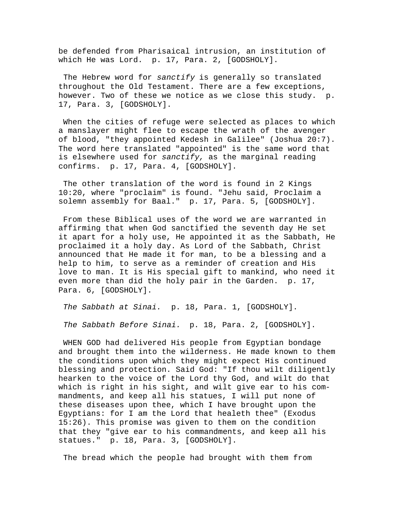be defended from Pharisaical intrusion, an institution of which He was Lord. p. 17, Para. 2, [GODSHOLY].

 The Hebrew word for *sanctify* is generally so translated throughout the Old Testament. There are a few exceptions, however. Two of these we notice as we close this study. p. 17, Para. 3, [GODSHOLY].

 When the cities of refuge were selected as places to which a manslayer might flee to escape the wrath of the avenger of blood, "they appointed Kedesh in Galilee" (Joshua 20:7). The word here translated "appointed" is the same word that is elsewhere used for *sanctify,* as the marginal reading confirms. p. 17, Para. 4, [GODSHOLY].

 The other translation of the word is found in 2 Kings 10:20, where "proclaim" is found. "Jehu said, Proclaim a solemn assembly for Baal." p. 17, Para. 5, [GODSHOLY].

 From these Biblical uses of the word we are warranted in affirming that when God sanctified the seventh day He set it apart for a holy use, He appointed it as the Sabbath, He proclaimed it a holy day. As Lord of the Sabbath, Christ announced that He made it for man, to be a blessing and a help to him, to serve as a reminder of creation and His love to man. It is His special gift to mankind, who need it even more than did the holy pair in the Garden. p. 17, Para. 6, [GODSHOLY].

 *The Sabbath at Sinai.* p. 18, Para. 1, [GODSHOLY].

 *The Sabbath Before Sinai.* p. 18, Para. 2, [GODSHOLY].

 WHEN GOD had delivered His people from Egyptian bondage and brought them into the wilderness. He made known to them the conditions upon which they might expect His continued blessing and protection. Said God: "If thou wilt diligently hearken to the voice of the Lord thy God, and wilt do that which is right in his sight, and wilt give ear to his commandments, and keep all his statues, I will put none of these diseases upon thee, which I have brought upon the Egyptians: for I am the Lord that healeth thee" (Exodus 15:26). This promise was given to them on the condition that they "give ear to his commandments, and keep all his statues." p. 18, Para. 3, [GODSHOLY].

The bread which the people had brought with them from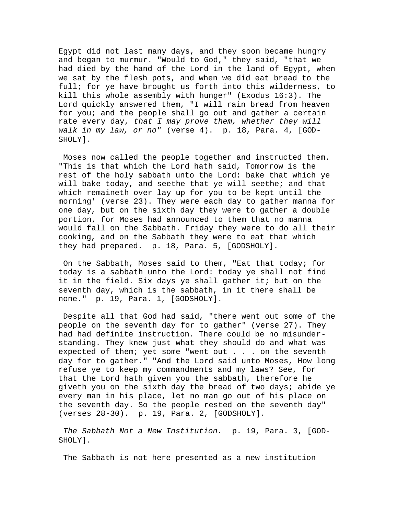Egypt did not last many days, and they soon became hungry and began to murmur. "Would to God," they said, "that we had died by the hand of the Lord in the land of Egypt, when we sat by the flesh pots, and when we did eat bread to the full; for ye have brought us forth into this wilderness, to kill this whole assembly with hunger" (Exodus 16:3). The Lord quickly answered them, "I will rain bread from heaven for you; and the people shall go out and gather a certain rate every day, *that I may prove them, whether they will walk in my law, or no"* (verse 4). p. 18, Para. 4, [GOD-SHOLY].

 Moses now called the people together and instructed them. "This is that which the Lord hath said, Tomorrow is the rest of the holy sabbath unto the Lord: bake that which ye will bake today, and seethe that ye will seethe; and that which remaineth over lay up for you to be kept until the morning' (verse 23). They were each day to gather manna for one day, but on the sixth day they were to gather a double portion, for Moses had announced to them that no manna would fall on the Sabbath. Friday they were to do all their cooking, and on the Sabbath they were to eat that which they had prepared. p. 18, Para. 5, [GODSHOLY].

 On the Sabbath, Moses said to them, "Eat that today; for today is a sabbath unto the Lord: today ye shall not find it in the field. Six days ye shall gather it; but on the seventh day, which is the sabbath, in it there shall be none." p. 19, Para. 1, [GODSHOLY].

 Despite all that God had said, "there went out some of the people on the seventh day for to gather" (verse 27). They had had definite instruction. There could be no misunderstanding. They knew just what they should do and what was expected of them; yet some "went out . . . on the seventh day for to gather." "And the Lord said unto Moses, How long refuse ye to keep my commandments and my laws? See, for that the Lord hath given you the sabbath, therefore he giveth you on the sixth day the bread of two days; abide ye every man in his place, let no man go out of his place on the seventh day. So the people rested on the seventh day" (verses 28-30). p. 19, Para. 2, [GODSHOLY].

 *The Sabbath Not a New Institution.* p. 19, Para. 3, [GOD-SHOLY].

The Sabbath is not here presented as a new institution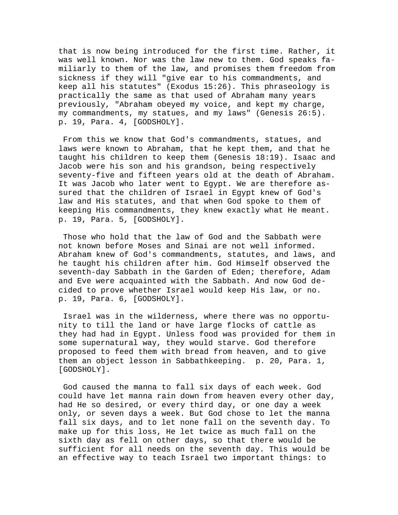that is now being introduced for the first time. Rather, it was well known. Nor was the law new to them. God speaks familiarly to them of the law, and promises them freedom from sickness if they will "give ear to his commandments, and keep all his statutes" (Exodus 15:26). This phraseology is practically the same as that used of Abraham many years previously, "Abraham obeyed my voice, and kept my charge, my commandments, my statues, and my laws" (Genesis 26:5). p. 19, Para. 4, [GODSHOLY].

 From this we know that God's commandments, statues, and laws were known to Abraham, that he kept them, and that he taught his children to keep them (Genesis 18:19). Isaac and Jacob were his son and his grandson, being respectively seventy-five and fifteen years old at the death of Abraham. It was Jacob who later went to Egypt. We are therefore assured that the children of Israel in Egypt knew of God's law and His statutes, and that when God spoke to them of keeping His commandments, they knew exactly what He meant. p. 19, Para. 5, [GODSHOLY].

 Those who hold that the law of God and the Sabbath were not known before Moses and Sinai are not well informed. Abraham knew of God's commandments, statutes, and laws, and he taught his children after him. God Himself observed the seventh-day Sabbath in the Garden of Eden; therefore, Adam and Eve were acquainted with the Sabbath. And now God decided to prove whether Israel would keep His law, or no. p. 19, Para. 6, [GODSHOLY].

 Israel was in the wilderness, where there was no opportunity to till the land or have large flocks of cattle as they had had in Egypt. Unless food was provided for them in some supernatural way, they would starve. God therefore proposed to feed them with bread from heaven, and to give them an object lesson in Sabbathkeeping. p. 20, Para. 1, [GODSHOLY].

 God caused the manna to fall six days of each week. God could have let manna rain down from heaven every other day, had He so desired, or every third day, or one day a week only, or seven days a week. But God chose to let the manna fall six days, and to let none fall on the seventh day. To make up for this loss, He let twice as much fall on the sixth day as fell on other days, so that there would be sufficient for all needs on the seventh day. This would be an effective way to teach Israel two important things: to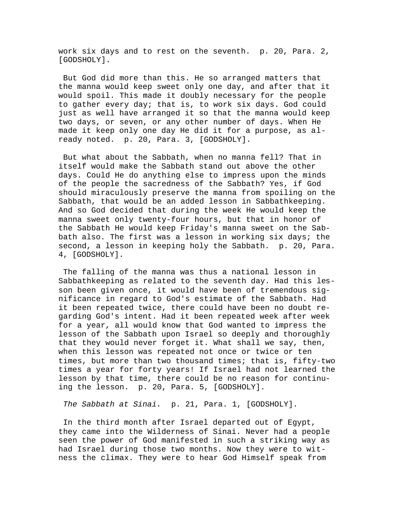work six days and to rest on the seventh. p. 20, Para. 2, [GODSHOLY].

 But God did more than this. He so arranged matters that the manna would keep sweet only one day, and after that it would spoil. This made it doubly necessary for the people to gather every day; that is, to work six days. God could just as well have arranged it so that the manna would keep two days, or seven, or any other number of days. When He made it keep only one day He did it for a purpose, as already noted. p. 20, Para. 3, [GODSHOLY].

 But what about the Sabbath, when no manna fell? That in itself would make the Sabbath stand out above the other days. Could He do anything else to impress upon the minds of the people the sacredness of the Sabbath? Yes, if God should miraculously preserve the manna from spoiling on the Sabbath, that would be an added lesson in Sabbathkeeping. And so God decided that during the week He would keep the manna sweet only twenty-four hours, but that in honor of the Sabbath He would keep Friday's manna sweet on the Sabbath also. The first was a lesson in working six days; the second, a lesson in keeping holy the Sabbath. p. 20, Para. 4, [GODSHOLY].

 The falling of the manna was thus a national lesson in Sabbathkeeping as related to the seventh day. Had this lesson been given once, it would have been of tremendous significance in regard to God's estimate of the Sabbath. Had it been repeated twice, there could have been no doubt regarding God's intent. Had it been repeated week after week for a year, all would know that God wanted to impress the lesson of the Sabbath upon Israel so deeply and thoroughly that they would never forget it. What shall we say, then, when this lesson was repeated not once or twice or ten times, but more than two thousand times; that is, fifty-two times a year for forty years! If Israel had not learned the lesson by that time, there could be no reason for continuing the lesson. p. 20, Para. 5, [GODSHOLY].

 *The Sabbath at Sinai.* p. 21, Para. 1, [GODSHOLY].

 In the third month after Israel departed out of Egypt, they came into the Wilderness of Sinai. Never had a people seen the power of God manifested in such a striking way as had Israel during those two months. Now they were to witness the climax. They were to hear God Himself speak from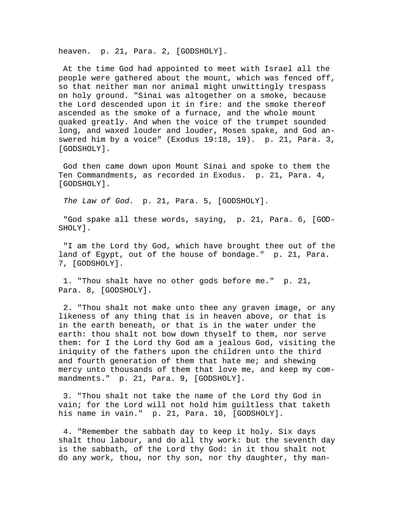heaven. p. 21, Para. 2, [GODSHOLY].

 At the time God had appointed to meet with Israel all the people were gathered about the mount, which was fenced off, so that neither man nor animal might unwittingly trespass on holy ground. "Sinai was altogether on a smoke, because the Lord descended upon it in fire: and the smoke thereof ascended as the smoke of a furnace, and the whole mount quaked greatly. And when the voice of the trumpet sounded long, and waxed louder and louder, Moses spake, and God answered him by a voice" (Exodus 19:18, 19). p. 21, Para. 3, [GODSHOLY].

 God then came down upon Mount Sinai and spoke to them the Ten Commandments, as recorded in Exodus. p. 21, Para. 4, [GODSHOLY].

 *The Law of God.* p. 21, Para. 5, [GODSHOLY].

 "God spake all these words, saying, p. 21, Para. 6, [GOD-SHOLY].

 "I am the Lord thy God, which have brought thee out of the land of Egypt, out of the house of bondage." p. 21, Para. 7, [GODSHOLY].

 1. "Thou shalt have no other gods before me." p. 21, Para. 8, [GODSHOLY].

 2. "Thou shalt not make unto thee any graven image, or any likeness of any thing that is in heaven above, or that is in the earth beneath, or that is in the water under the earth: thou shalt not bow down thyself to them, nor serve them: for I the Lord thy God am a jealous God, visiting the iniquity of the fathers upon the children unto the third and fourth generation of them that hate me; and shewing mercy unto thousands of them that love me, and keep my commandments." p. 21, Para. 9, [GODSHOLY].

 3. "Thou shalt not take the name of the Lord thy God in vain; for the Lord will not hold him guiltless that taketh his name in vain." p. 21, Para. 10, [GODSHOLY].

 4. "Remember the sabbath day to keep it holy. Six days shalt thou labour, and do all thy work: but the seventh day is the sabbath, of the Lord thy God: in it thou shalt not do any work, thou, nor thy son, nor thy daughter, thy man-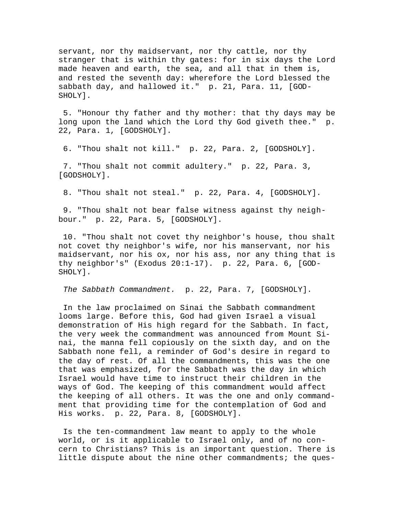servant, nor thy maidservant, nor thy cattle, nor thy stranger that is within thy gates: for in six days the Lord made heaven and earth, the sea, and all that in them is, and rested the seventh day: wherefore the Lord blessed the sabbath day, and hallowed it." p. 21, Para. 11, [GOD-SHOLY].

 5. "Honour thy father and thy mother: that thy days may be long upon the land which the Lord thy God giveth thee." p. 22, Para. 1, [GODSHOLY].

6. "Thou shalt not kill." p. 22, Para. 2, [GODSHOLY].

 7. "Thou shalt not commit adultery." p. 22, Para. 3, [GODSHOLY].

8. "Thou shalt not steal." p. 22, Para. 4, [GODSHOLY].

 9. "Thou shalt not bear false witness against thy neighbour." p. 22, Para. 5, [GODSHOLY].

 10. "Thou shalt not covet thy neighbor's house, thou shalt not covet thy neighbor's wife, nor his manservant, nor his maidservant, nor his ox, nor his ass, nor any thing that is thy neighbor's" (Exodus 20:1-17). p. 22, Para. 6, [GOD-SHOLY].

 *The Sabbath Commandment.* p. 22, Para. 7, [GODSHOLY].

 In the law proclaimed on Sinai the Sabbath commandment looms large. Before this, God had given Israel a visual demonstration of His high regard for the Sabbath. In fact, the very week the commandment was announced from Mount Sinai, the manna fell copiously on the sixth day, and on the Sabbath none fell, a reminder of God's desire in regard to the day of rest. Of all the commandments, this was the one that was emphasized, for the Sabbath was the day in which Israel would have time to instruct their children in the ways of God. The keeping of this commandment would affect the keeping of all others. It was the one and only commandment that providing time for the contemplation of God and His works. p. 22, Para. 8, [GODSHOLY].

 Is the ten-commandment law meant to apply to the whole world, or is it applicable to Israel only, and of no concern to Christians? This is an important question. There is little dispute about the nine other commandments; the ques-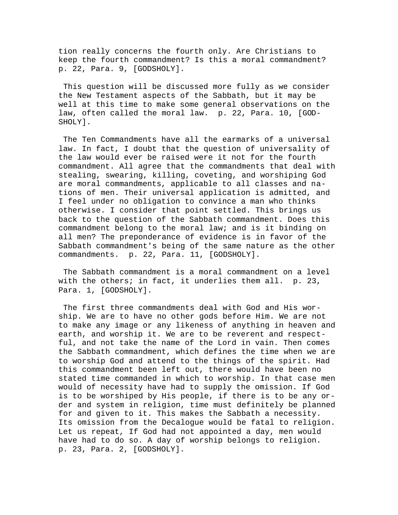tion really concerns the fourth only. Are Christians to keep the fourth commandment? Is this a moral commandment? p. 22, Para. 9, [GODSHOLY].

 This question will be discussed more fully as we consider the New Testament aspects of the Sabbath, but it may be well at this time to make some general observations on the law, often called the moral law. p. 22, Para. 10, [GOD-SHOLY].

 The Ten Commandments have all the earmarks of a universal law. In fact, I doubt that the question of universality of the law would ever be raised were it not for the fourth commandment. All agree that the commandments that deal with stealing, swearing, killing, coveting, and worshiping God are moral commandments, applicable to all classes and nations of men. Their universal application is admitted, and I feel under no obligation to convince a man who thinks otherwise. I consider that point settled. This brings us back to the question of the Sabbath commandment. Does this commandment belong to the moral law; and is it binding on all men? The preponderance of evidence is in favor of the Sabbath commandment's being of the same nature as the other commandments. p. 22, Para. 11, [GODSHOLY].

 The Sabbath commandment is a moral commandment on a level with the others; in fact, it underlies them all. p. 23, Para. 1, [GODSHOLY].

 The first three commandments deal with God and His worship. We are to have no other gods before Him. We are not to make any image or any likeness of anything in heaven and earth, and worship it. We are to be reverent and respectful, and not take the name of the Lord in vain. Then comes the Sabbath commandment, which defines the time when we are to worship God and attend to the things of the spirit. Had this commandment been left out, there would have been no stated time commanded in which to worship. In that case men would of necessity have had to supply the omission. If God is to be worshiped by His people, if there is to be any order and system in religion, time must definitely be planned for and given to it. This makes the Sabbath a necessity. Its omission from the Decalogue would be fatal to religion. Let us repeat, If God had not appointed a day, men would have had to do so. A day of worship belongs to religion. p. 23, Para. 2, [GODSHOLY].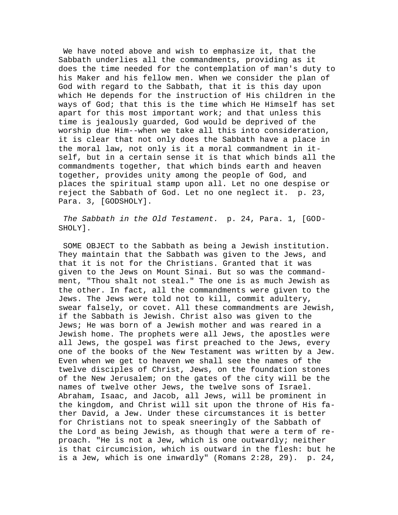We have noted above and wish to emphasize it, that the Sabbath underlies all the commandments, providing as it does the time needed for the contemplation of man's duty to his Maker and his fellow men. When we consider the plan of God with regard to the Sabbath, that it is this day upon which He depends for the instruction of His children in the ways of God; that this is the time which He Himself has set apart for this most important work; and that unless this time is jealously guarded, God would be deprived of the worship due Him--when we take all this into consideration, it is clear that not only does the Sabbath have a place in the moral law, not only is it a moral commandment in itself, but in a certain sense it is that which binds all the commandments together, that which binds earth and heaven together, provides unity among the people of God, and places the spiritual stamp upon all. Let no one despise or reject the Sabbath of God. Let no one neglect it. p. 23, Para. 3, [GODSHOLY].

 *The Sabbath in the Old Testament.* p. 24, Para. 1, [GOD-SHOLY].

 SOME OBJECT to the Sabbath as being a Jewish institution. They maintain that the Sabbath was given to the Jews, and that it is not for the Christians. Granted that it was given to the Jews on Mount Sinai. But so was the commandment, "Thou shalt not steal." The one is as much Jewish as the other. In fact, all the commandments were given to the Jews. The Jews were told not to kill, commit adultery, swear falsely, or covet. All these commandments are Jewish, if the Sabbath is Jewish. Christ also was given to the Jews; He was born of a Jewish mother and was reared in a Jewish home. The prophets were all Jews, the apostles were all Jews, the gospel was first preached to the Jews, every one of the books of the New Testament was written by a Jew. Even when we get to heaven we shall see the names of the twelve disciples of Christ, Jews, on the foundation stones of the New Jerusalem; on the gates of the city will be the names of twelve other Jews, the twelve sons of Israel. Abraham, Isaac, and Jacob, all Jews, will be prominent in the kingdom, and Christ will sit upon the throne of His father David, a Jew. Under these circumstances it is better for Christians not to speak sneeringly of the Sabbath of the Lord as being Jewish, as though that were a term of reproach. "He is not a Jew, which is one outwardly; neither is that circumcision, which is outward in the flesh: but he is a Jew, which is one inwardly" (Romans 2:28, 29). p. 24,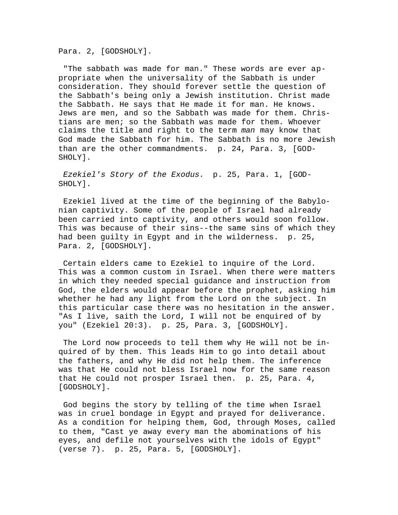Para. 2, [GODSHOLY].

 "The sabbath was made for man." These words are ever appropriate when the universality of the Sabbath is under consideration. They should forever settle the question of the Sabbath's being only a Jewish institution. Christ made the Sabbath. He says that He made it for man. He knows. Jews are men, and so the Sabbath was made for them. Christians are men; so the Sabbath was made for them. Whoever claims the title and right to the term *man* may know that God made the Sabbath for him. The Sabbath is no more Jewish than are the other commandments. p. 24, Para. 3, [GOD-SHOLY].

 *Ezekiel's Story of the Exodus.* p. 25, Para. 1, [GOD-SHOLY].

 Ezekiel lived at the time of the beginning of the Babylonian captivity. Some of the people of Israel had already been carried into captivity, and others would soon follow. This was because of their sins--the same sins of which they had been guilty in Egypt and in the wilderness. p. 25, Para. 2, [GODSHOLY].

 Certain elders came to Ezekiel to inquire of the Lord. This was a common custom in Israel. When there were matters in which they needed special guidance and instruction from God, the elders would appear before the prophet, asking him whether he had any light from the Lord on the subject. In this particular case there was no hesitation in the answer. "As I live, saith the Lord, I will not be enquired of by you" (Ezekiel 20:3). p. 25, Para. 3, [GODSHOLY].

 The Lord now proceeds to tell them why He will not be inquired of by them. This leads Him to go into detail about the fathers, and why He did not help them. The inference was that He could not bless Israel now for the same reason that He could not prosper Israel then. p. 25, Para. 4, [GODSHOLY].

 God begins the story by telling of the time when Israel was in cruel bondage in Egypt and prayed for deliverance. As a condition for helping them, God, through Moses, called to them, "Cast ye away every man the abominations of his eyes, and defile not yourselves with the idols of Egypt" (verse 7). p. 25, Para. 5, [GODSHOLY].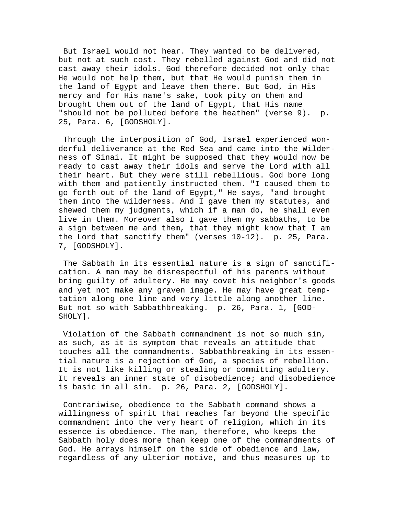But Israel would not hear. They wanted to be delivered, but not at such cost. They rebelled against God and did not cast away their idols. God therefore decided not only that He would not help them, but that He would punish them in the land of Egypt and leave them there. But God, in His mercy and for His name's sake, took pity on them and brought them out of the land of Egypt, that His name "should not be polluted before the heathen" (verse 9). p. 25, Para. 6, [GODSHOLY].

 Through the interposition of God, Israel experienced wonderful deliverance at the Red Sea and came into the Wilderness of Sinai. It might be supposed that they would now be ready to cast away their idols and serve the Lord with all their heart. But they were still rebellious. God bore long with them and patiently instructed them. "I caused them to go forth out of the land of Egypt," He says, "and brought them into the wilderness. And I gave them my statutes, and shewed them my judgments, which if a man do, he shall even live in them. Moreover also I gave them my sabbaths, to be a sign between me and them, that they might know that I am the Lord that sanctify them" (verses 10-12). p. 25, Para. 7, [GODSHOLY].

 The Sabbath in its essential nature is a sign of sanctification. A man may be disrespectful of his parents without bring guilty of adultery. He may covet his neighbor's goods and yet not make any graven image. He may have great temptation along one line and very little along another line. But not so with Sabbathbreaking. p. 26, Para. 1, [GOD-SHOLY].

 Violation of the Sabbath commandment is not so much sin, as such, as it is symptom that reveals an attitude that touches all the commandments. Sabbathbreaking in its essential nature is a rejection of God, a species of rebellion. It is not like killing or stealing or committing adultery. It reveals an inner state of disobedience; and disobedience is basic in all sin. p. 26, Para. 2, [GODSHOLY].

 Contrariwise, obedience to the Sabbath command shows a willingness of spirit that reaches far beyond the specific commandment into the very heart of religion, which in its essence is obedience. The man, therefore, who keeps the Sabbath holy does more than keep one of the commandments of God. He arrays himself on the side of obedience and law, regardless of any ulterior motive, and thus measures up to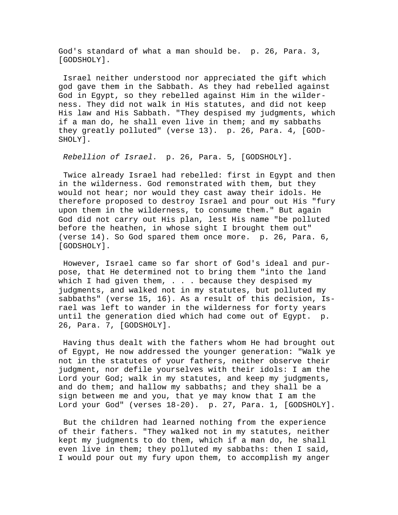God's standard of what a man should be. p. 26, Para. 3, [GODSHOLY].

 Israel neither understood nor appreciated the gift which god gave them in the Sabbath. As they had rebelled against God in Egypt, so they rebelled against Him in the wilderness. They did not walk in His statutes, and did not keep His law and His Sabbath. "They despised my judgments, which if a man do, he shall even live in them; and my sabbaths they greatly polluted" (verse 13). p. 26, Para. 4, [GOD-SHOLY].

 *Rebellion of Israel.* p. 26, Para. 5, [GODSHOLY].

 Twice already Israel had rebelled: first in Egypt and then in the wilderness. God remonstrated with them, but they would not hear; nor would they cast away their idols. He therefore proposed to destroy Israel and pour out His "fury upon them in the wilderness, to consume them." But again God did not carry out His plan, lest His name "be polluted before the heathen, in whose sight I brought them out" (verse 14). So God spared them once more. p. 26, Para. 6, [GODSHOLY].

 However, Israel came so far short of God's ideal and purpose, that He determined not to bring them "into the land which I had given them,  $\ldots$  because they despised my judgments, and walked not in my statutes, but polluted my sabbaths" (verse 15, 16). As a result of this decision, Israel was left to wander in the wilderness for forty years until the generation died which had come out of Egypt. p. 26, Para. 7, [GODSHOLY].

 Having thus dealt with the fathers whom He had brought out of Egypt, He now addressed the younger generation: "Walk ye not in the statutes of your fathers, neither observe their judgment, nor defile yourselves with their idols: I am the Lord your God; walk in my statutes, and keep my judgments, and do them; and hallow my sabbaths; and they shall be a sign between me and you, that ye may know that I am the Lord your God" (verses 18-20). p. 27, Para. 1, [GODSHOLY].

 But the children had learned nothing from the experience of their fathers. "They walked not in my statutes, neither kept my judgments to do them, which if a man do, he shall even live in them; they polluted my sabbaths: then I said, I would pour out my fury upon them, to accomplish my anger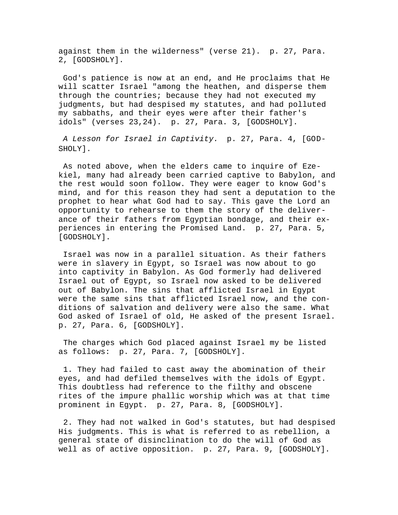against them in the wilderness" (verse 21). p. 27, Para. 2, [GODSHOLY].

 God's patience is now at an end, and He proclaims that He will scatter Israel "among the heathen, and disperse them through the countries; because they had not executed my judgments, but had despised my statutes, and had polluted my sabbaths, and their eyes were after their father's idols" (verses 23,24). p. 27, Para. 3, [GODSHOLY].

 *A Lesson for Israel in Captivity.* p. 27, Para. 4, [GOD-SHOLY].

 As noted above, when the elders came to inquire of Ezekiel, many had already been carried captive to Babylon, and the rest would soon follow. They were eager to know God's mind, and for this reason they had sent a deputation to the prophet to hear what God had to say. This gave the Lord an opportunity to rehearse to them the story of the deliverance of their fathers from Egyptian bondage, and their experiences in entering the Promised Land. p. 27, Para. 5, [GODSHOLY].

 Israel was now in a parallel situation. As their fathers were in slavery in Egypt, so Israel was now about to go into captivity in Babylon. As God formerly had delivered Israel out of Egypt, so Israel now asked to be delivered out of Babylon. The sins that afflicted Israel in Egypt were the same sins that afflicted Israel now, and the conditions of salvation and delivery were also the same. What God asked of Israel of old, He asked of the present Israel. p. 27, Para. 6, [GODSHOLY].

 The charges which God placed against Israel my be listed as follows: p. 27, Para. 7, [GODSHOLY].

 1. They had failed to cast away the abomination of their eyes, and had defiled themselves with the idols of Egypt. This doubtless had reference to the filthy and obscene rites of the impure phallic worship which was at that time prominent in Egypt. p. 27, Para. 8, [GODSHOLY].

 2. They had not walked in God's statutes, but had despised His judgments. This is what is referred to as rebellion, a general state of disinclination to do the will of God as well as of active opposition. p. 27, Para. 9, [GODSHOLY].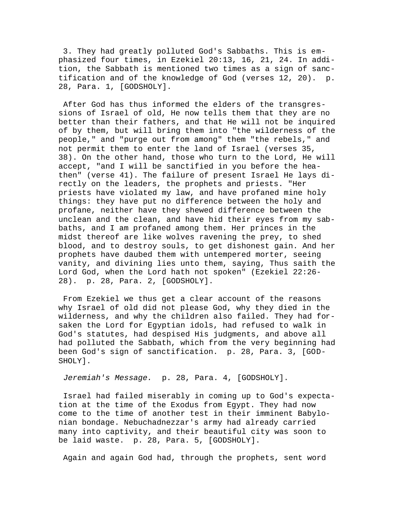3. They had greatly polluted God's Sabbaths. This is emphasized four times, in Ezekiel 20:13, 16, 21, 24. In addition, the Sabbath is mentioned two times as a sign of sanctification and of the knowledge of God (verses 12, 20). p. 28, Para. 1, [GODSHOLY].

 After God has thus informed the elders of the transgressions of Israel of old, He now tells them that they are no better than their fathers, and that He will not be inquired of by them, but will bring them into "the wilderness of the people," and "purge out from among" them "the rebels," and not permit them to enter the land of Israel (verses 35, 38). On the other hand, those who turn to the Lord, He will accept, "and I will be sanctified in you before the heathen" (verse 41). The failure of present Israel He lays directly on the leaders, the prophets and priests. "Her priests have violated my law, and have profaned mine holy things: they have put no difference between the holy and profane, neither have they shewed difference between the unclean and the clean, and have hid their eyes from my sabbaths, and I am profaned among them. Her princes in the midst thereof are like wolves ravening the prey, to shed blood, and to destroy souls, to get dishonest gain. And her prophets have daubed them with untempered morter, seeing vanity, and divining lies unto them, saying, Thus saith the Lord God, when the Lord hath not spoken" (Ezekiel 22:26- 28). p. 28, Para. 2, [GODSHOLY].

 From Ezekiel we thus get a clear account of the reasons why Israel of old did not please God, why they died in the wilderness, and why the children also failed. They had forsaken the Lord for Egyptian idols, had refused to walk in God's statutes, had despised His judgments, and above all had polluted the Sabbath, which from the very beginning had been God's sign of sanctification. p. 28, Para. 3, [GOD-SHOLY].

 *Jeremiah's Message.* p. 28, Para. 4, [GODSHOLY].

 Israel had failed miserably in coming up to God's expectation at the time of the Exodus from Egypt. They had now come to the time of another test in their imminent Babylonian bondage. Nebuchadnezzar's army had already carried many into captivity, and their beautiful city was soon to be laid waste. p. 28, Para. 5, [GODSHOLY].

Again and again God had, through the prophets, sent word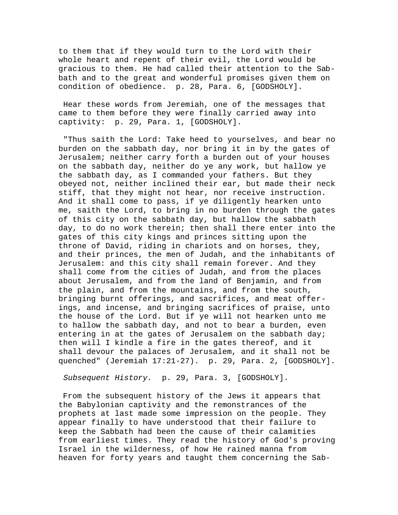to them that if they would turn to the Lord with their whole heart and repent of their evil, the Lord would be gracious to them. He had called their attention to the Sabbath and to the great and wonderful promises given them on condition of obedience. p. 28, Para. 6, [GODSHOLY].

 Hear these words from Jeremiah, one of the messages that came to them before they were finally carried away into captivity: p. 29, Para. 1, [GODSHOLY].

 "Thus saith the Lord: Take heed to yourselves, and bear no burden on the sabbath day, nor bring it in by the gates of Jerusalem; neither carry forth a burden out of your houses on the sabbath day, neither do ye any work, but hallow ye the sabbath day, as I commanded your fathers. But they obeyed not, neither inclined their ear, but made their neck stiff, that they might not hear, nor receive instruction. And it shall come to pass, if ye diligently hearken unto me, saith the Lord, to bring in no burden through the gates of this city on the sabbath day, but hallow the sabbath day, to do no work therein; then shall there enter into the gates of this city kings and princes sitting upon the throne of David, riding in chariots and on horses, they, and their princes, the men of Judah, and the inhabitants of Jerusalem: and this city shall remain forever. And they shall come from the cities of Judah, and from the places about Jerusalem, and from the land of Benjamin, and from the plain, and from the mountains, and from the south, bringing burnt offerings, and sacrifices, and meat offerings, and incense, and bringing sacrifices of praise, unto the house of the Lord. But if ye will not hearken unto me to hallow the sabbath day, and not to bear a burden, even entering in at the gates of Jerusalem on the sabbath day; then will I kindle a fire in the gates thereof, and it shall devour the palaces of Jerusalem, and it shall not be quenched" (Jeremiah 17:21-27). p. 29, Para. 2, [GODSHOLY].

 *Subsequent History.* p. 29, Para. 3, [GODSHOLY].

 From the subsequent history of the Jews it appears that the Babylonian captivity and the remonstrances of the prophets at last made some impression on the people. They appear finally to have understood that their failure to keep the Sabbath had been the cause of their calamities from earliest times. They read the history of God's proving Israel in the wilderness, of how He rained manna from heaven for forty years and taught them concerning the Sab-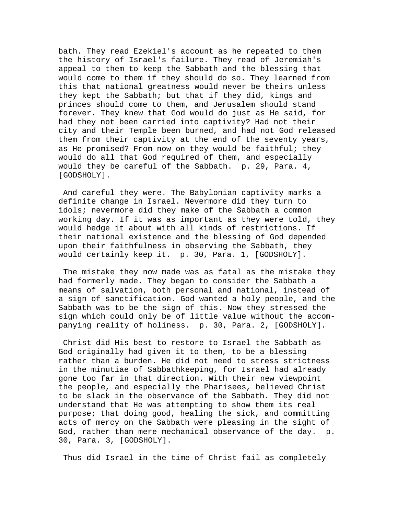bath. They read Ezekiel's account as he repeated to them the history of Israel's failure. They read of Jeremiah's appeal to them to keep the Sabbath and the blessing that would come to them if they should do so. They learned from this that national greatness would never be theirs unless they kept the Sabbath; but that if they did, kings and princes should come to them, and Jerusalem should stand forever. They knew that God would do just as He said, for had they not been carried into captivity? Had not their city and their Temple been burned, and had not God released them from their captivity at the end of the seventy years, as He promised? From now on they would be faithful; they would do all that God required of them, and especially would they be careful of the Sabbath. p. 29, Para. 4, [GODSHOLY].

 And careful they were. The Babylonian captivity marks a definite change in Israel. Nevermore did they turn to idols; nevermore did they make of the Sabbath a common working day. If it was as important as they were told, they would hedge it about with all kinds of restrictions. If their national existence and the blessing of God depended upon their faithfulness in observing the Sabbath, they would certainly keep it. p. 30, Para. 1, [GODSHOLY].

 The mistake they now made was as fatal as the mistake they had formerly made. They began to consider the Sabbath a means of salvation, both personal and national, instead of a sign of sanctification. God wanted a holy people, and the Sabbath was to be the sign of this. Now they stressed the sign which could only be of little value without the accompanying reality of holiness. p. 30, Para. 2, [GODSHOLY].

 Christ did His best to restore to Israel the Sabbath as God originally had given it to them, to be a blessing rather than a burden. He did not need to stress strictness in the minutiae of Sabbathkeeping, for Israel had already gone too far in that direction. With their new viewpoint the people, and especially the Pharisees, believed Christ to be slack in the observance of the Sabbath. They did not understand that He was attempting to show them its real purpose; that doing good, healing the sick, and committing acts of mercy on the Sabbath were pleasing in the sight of God, rather than mere mechanical observance of the day. p. 30, Para. 3, [GODSHOLY].

Thus did Israel in the time of Christ fail as completely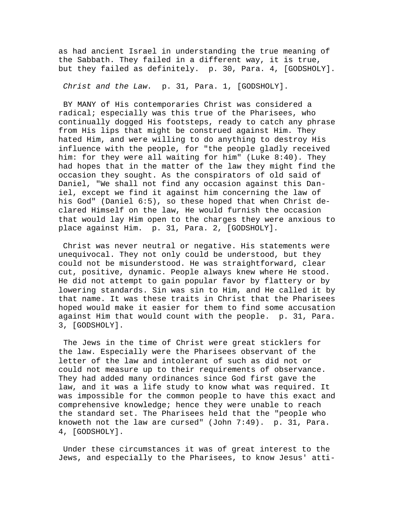as had ancient Israel in understanding the true meaning of the Sabbath. They failed in a different way, it is true, but they failed as definitely. p. 30, Para. 4, [GODSHOLY].

 *Christ and the Law.* p. 31, Para. 1, [GODSHOLY].

 BY MANY of His contemporaries Christ was considered a radical; especially was this true of the Pharisees, who continually dogged His footsteps, ready to catch any phrase from His lips that might be construed against Him. They hated Him, and were willing to do anything to destroy His influence with the people, for "the people gladly received him: for they were all waiting for him" (Luke 8:40). They had hopes that in the matter of the law they might find the occasion they sought. As the conspirators of old said of Daniel, "We shall not find any occasion against this Daniel, except we find it against him concerning the law of his God" (Daniel 6:5), so these hoped that when Christ declared Himself on the law, He would furnish the occasion that would lay Him open to the charges they were anxious to place against Him. p. 31, Para. 2, [GODSHOLY].

 Christ was never neutral or negative. His statements were unequivocal. They not only could be understood, but they could not be misunderstood. He was straightforward, clear cut, positive, dynamic. People always knew where He stood. He did not attempt to gain popular favor by flattery or by lowering standards. Sin was sin to Him, and He called it by that name. It was these traits in Christ that the Pharisees hoped would make it easier for them to find some accusation against Him that would count with the people. p. 31, Para. 3, [GODSHOLY].

 The Jews in the time of Christ were great sticklers for the law. Especially were the Pharisees observant of the letter of the law and intolerant of such as did not or could not measure up to their requirements of observance. They had added many ordinances since God first gave the law, and it was a life study to know what was required. It was impossible for the common people to have this exact and comprehensive knowledge; hence they were unable to reach the standard set. The Pharisees held that the "people who knoweth not the law are cursed" (John 7:49). p. 31, Para. 4, [GODSHOLY].

 Under these circumstances it was of great interest to the Jews, and especially to the Pharisees, to know Jesus' atti-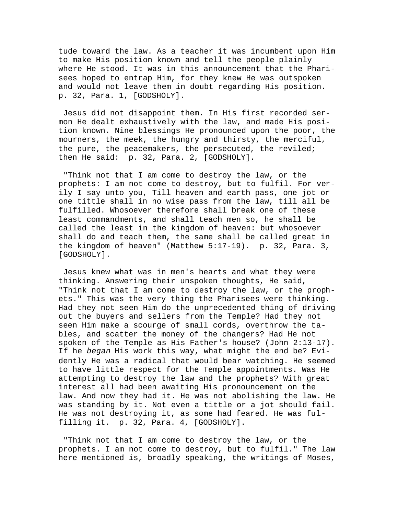tude toward the law. As a teacher it was incumbent upon Him to make His position known and tell the people plainly where He stood. It was in this announcement that the Pharisees hoped to entrap Him, for they knew He was outspoken and would not leave them in doubt regarding His position. p. 32, Para. 1, [GODSHOLY].

 Jesus did not disappoint them. In His first recorded sermon He dealt exhaustively with the law, and made His position known. Nine blessings He pronounced upon the poor, the mourners, the meek, the hungry and thirsty, the merciful, the pure, the peacemakers, the persecuted, the reviled; then He said: p. 32, Para. 2, [GODSHOLY].

 "Think not that I am come to destroy the law, or the prophets: I am not come to destroy, but to fulfil. For verily I say unto you, Till heaven and earth pass, one jot or one tittle shall in no wise pass from the law, till all be fulfilled. Whosoever therefore shall break one of these least commandments, and shall teach men so, he shall be called the least in the kingdom of heaven: but whosoever shall do and teach them, the same shall be called great in the kingdom of heaven" (Matthew 5:17-19). p. 32, Para. 3, [GODSHOLY].

 Jesus knew what was in men's hearts and what they were thinking. Answering their unspoken thoughts, He said, "Think not that I am come to destroy the law, or the prophets." This was the very thing the Pharisees were thinking. Had they not seen Him do the unprecedented thing of driving out the buyers and sellers from the Temple? Had they not seen Him make a scourge of small cords, overthrow the tables, and scatter the money of the changers? Had He not spoken of the Temple as His Father's house? (John 2:13-17). If he *began* His work this way, what might the end be? Evidently He was a radical that would bear watching. He seemed to have little respect for the Temple appointments. Was He attempting to destroy the law and the prophets? With great interest all had been awaiting His pronouncement on the law. And now they had it. He was not abolishing the law. He was standing by it. Not even a tittle or a jot should fail. He was not destroying it, as some had feared. He was fulfilling it. p. 32, Para. 4, [GODSHOLY].

 "Think not that I am come to destroy the law, or the prophets. I am not come to destroy, but to fulfil." The law here mentioned is, broadly speaking, the writings of Moses,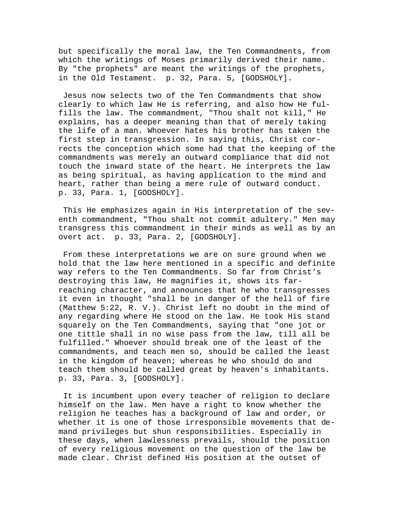but specifically the moral law, the Ten Commandments, from which the writings of Moses primarily derived their name. By "the prophets" are meant the writings of the prophets, in the Old Testament. p. 32, Para. 5, [GODSHOLY].

 Jesus now selects two of the Ten Commandments that show clearly to which law He is referring, and also how He fulfills the law. The commandment, "Thou shalt not kill," He explains, has a deeper meaning than that of merely taking the life of a man. Whoever hates his brother has taken the first step in transgression. In saying this, Christ corrects the conception which some had that the keeping of the commandments was merely an outward compliance that did not touch the inward state of the heart. He interprets the law as being spiritual, as having application to the mind and heart, rather than being a mere rule of outward conduct. p. 33, Para. 1, [GODSHOLY].

 This He emphasizes again in His interpretation of the seventh commandment, "Thou shalt not commit adultery." Men may transgress this commandment in their minds as well as by an overt act. p. 33, Para. 2, [GODSHOLY].

 From these interpretations we are on sure ground when we hold that the law here mentioned in a specific and definite way refers to the Ten Commandments. So far from Christ's destroying this law, He magnifies it, shows its farreaching character, and announces that he who transgresses it even in thought "shall be in danger of the hell of fire (Matthew 5:22, R. V.). Christ left no doubt in the mind of any regarding where He stood on the law. He took His stand squarely on the Ten Commandments, saying that "one jot or one tittle shall in no wise pass from the law, till all be fulfilled." Whoever should break one of the least of the commandments, and teach men so, should be called the least in the kingdom of heaven; whereas he who should do and teach them should be called great by heaven's inhabitants. p. 33, Para. 3, [GODSHOLY].

 It is incumbent upon every teacher of religion to declare himself on the law. Men have a right to know whether the religion he teaches has a background of law and order, or whether it is one of those irresponsible movements that demand privileges but shun responsibilities. Especially in these days, when lawlessness prevails, should the position of every religious movement on the question of the law be made clear. Christ defined His position at the outset of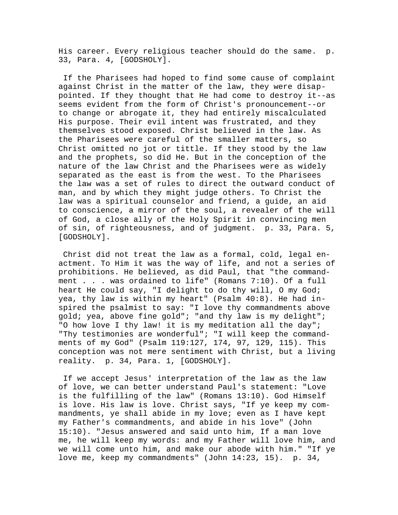His career. Every religious teacher should do the same. p. 33, Para. 4, [GODSHOLY].

 If the Pharisees had hoped to find some cause of complaint against Christ in the matter of the law, they were disappointed. If they thought that He had come to destroy it--as seems evident from the form of Christ's pronouncement--or to change or abrogate it, they had entirely miscalculated His purpose. Their evil intent was frustrated, and they themselves stood exposed. Christ believed in the law. As the Pharisees were careful of the smaller matters, so Christ omitted no jot or tittle. If they stood by the law and the prophets, so did He. But in the conception of the nature of the law Christ and the Pharisees were as widely separated as the east is from the west. To the Pharisees the law was a set of rules to direct the outward conduct of man, and by which they might judge others. To Christ the law was a spiritual counselor and friend, a guide, an aid to conscience, a mirror of the soul, a revealer of the will of God, a close ally of the Holy Spirit in convincing men of sin, of righteousness, and of judgment. p. 33, Para. 5, [GODSHOLY].

 Christ did not treat the law as a formal, cold, legal enactment. To Him it was the way of life, and not a series of prohibitions. He believed, as did Paul, that "the commandment . . . was ordained to life" (Romans 7:10). Of a full heart He could say, "I delight to do thy will, O my God; yea, thy law is within my heart" (Psalm 40:8). He had inspired the psalmist to say: "I love thy commandments above gold; yea, above fine gold"; "and thy law is my delight"; "O how love I thy law! it is my meditation all the day"; "Thy testimonies are wonderful"; "I will keep the commandments of my God" (Psalm 119:127, 174, 97, 129, 115). This conception was not mere sentiment with Christ, but a living reality. p. 34, Para. 1, [GODSHOLY].

 If we accept Jesus' interpretation of the law as the law of love, we can better understand Paul's statement: "Love is the fulfilling of the law" (Romans 13:10). God Himself is love. His law is love. Christ says, "If ye keep my commandments, ye shall abide in my love; even as I have kept my Father's commandments, and abide in his love" (John 15:10). "Jesus answered and said unto him, If a man love me, he will keep my words: and my Father will love him, and we will come unto him, and make our abode with him." "If ye love me, keep my commandments" (John 14:23, 15). p. 34,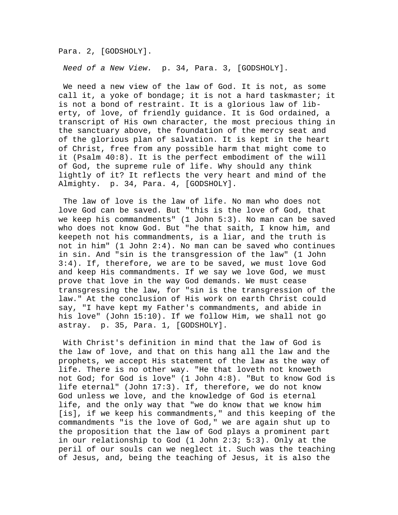Para. 2, [GODSHOLY].

 *Need of a New View.* p. 34, Para. 3, [GODSHOLY].

 We need a new view of the law of God. It is not, as some call it, a yoke of bondage; it is not a hard taskmaster; it is not a bond of restraint. It is a glorious law of liberty, of love, of friendly guidance. It is God ordained, a transcript of His own character, the most precious thing in the sanctuary above, the foundation of the mercy seat and of the glorious plan of salvation. It is kept in the heart of Christ, free from any possible harm that might come to it (Psalm 40:8). It is the perfect embodiment of the will of God, the supreme rule of life. Why should any think lightly of it? It reflects the very heart and mind of the Almighty. p. 34, Para. 4, [GODSHOLY].

 The law of love is the law of life. No man who does not love God can be saved. But "this is the love of God, that we keep his commandments" (1 John 5:3). No man can be saved who does not know God. But "he that saith, I know him, and keepeth not his commandments, is a liar, and the truth is not in him" (1 John 2:4). No man can be saved who continues in sin. And "sin is the transgression of the law" (1 John 3:4). If, therefore, we are to be saved, we must love God and keep His commandments. If we say we love God, we must prove that love in the way God demands. We must cease transgressing the law, for "sin is the transgression of the law." At the conclusion of His work on earth Christ could say, "I have kept my Father's commandments, and abide in his love" (John 15:10). If we follow Him, we shall not go astray. p. 35, Para. 1, [GODSHOLY].

 With Christ's definition in mind that the law of God is the law of love, and that on this hang all the law and the prophets, we accept His statement of the law as the way of life. There is no other way. "He that loveth not knoweth not God; for God is love" (1 John 4:8). "But to know God is life eternal" (John 17:3). If, therefore, we do not know God unless we love, and the knowledge of God is eternal life, and the only way that "we do know that we know him [is], if we keep his commandments," and this keeping of the commandments "is the love of God," we are again shut up to the proposition that the law of God plays a prominent part in our relationship to God (1 John 2:3; 5:3). Only at the peril of our souls can we neglect it. Such was the teaching of Jesus, and, being the teaching of Jesus, it is also the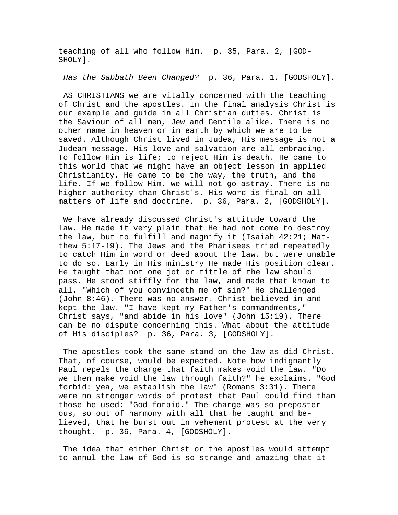teaching of all who follow Him. p. 35, Para. 2, [GOD-SHOLY].

 *Has the Sabbath Been Changed?* p. 36, Para. 1, [GODSHOLY].

 AS CHRISTIANS we are vitally concerned with the teaching of Christ and the apostles. In the final analysis Christ is our example and guide in all Christian duties. Christ is the Saviour of all men, Jew and Gentile alike. There is no other name in heaven or in earth by which we are to be saved. Although Christ lived in Judea, His message is not a Judean message. His love and salvation are all-embracing. To follow Him is life; to reject Him is death. He came to this world that we might have an object lesson in applied Christianity. He came to be the way, the truth, and the life. If we follow Him, we will not go astray. There is no higher authority than Christ's. His word is final on all matters of life and doctrine. p. 36, Para. 2, [GODSHOLY].

 We have already discussed Christ's attitude toward the law. He made it very plain that He had not come to destroy the law, but to fulfill and magnify it (Isaiah 42:21; Matthew 5:17-19). The Jews and the Pharisees tried repeatedly to catch Him in word or deed about the law, but were unable to do so. Early in His ministry He made His position clear. He taught that not one jot or tittle of the law should pass. He stood stiffly for the law, and made that known to all. "Which of you convinceth me of sin?" He challenged (John 8:46). There was no answer. Christ believed in and kept the law. "I have kept my Father's commandments," Christ says, "and abide in his love" (John 15:19). There can be no dispute concerning this. What about the attitude of His disciples? p. 36, Para. 3, [GODSHOLY].

 The apostles took the same stand on the law as did Christ. That, of course, would be expected. Note how indignantly Paul repels the charge that faith makes void the law. "Do we then make void the law through faith?" he exclaims. "God forbid: yea, we establish the law" (Romans 3:31). There were no stronger words of protest that Paul could find than those he used: "God forbid." The charge was so preposterous, so out of harmony with all that he taught and believed, that he burst out in vehement protest at the very thought. p. 36, Para. 4, [GODSHOLY].

 The idea that either Christ or the apostles would attempt to annul the law of God is so strange and amazing that it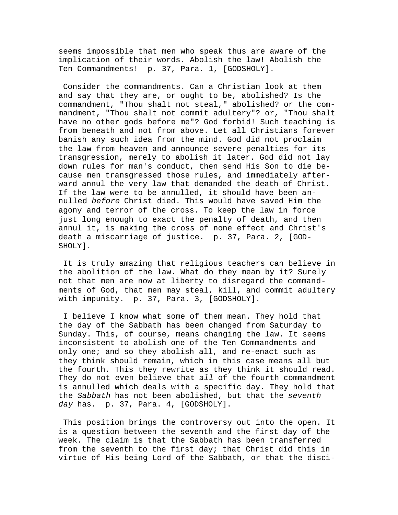seems impossible that men who speak thus are aware of the implication of their words. Abolish the law! Abolish the Ten Commandments! p. 37, Para. 1, [GODSHOLY].

 Consider the commandments. Can a Christian look at them and say that they are, or ought to be, abolished? Is the commandment, "Thou shalt not steal," abolished? or the commandment, "Thou shalt not commit adultery"? or, "Thou shalt have no other gods before me"? God forbid! Such teaching is from beneath and not from above. Let all Christians forever banish any such idea from the mind. God did not proclaim the law from heaven and announce severe penalties for its transgression, merely to abolish it later. God did not lay down rules for man's conduct, then send His Son to die because men transgressed those rules, and immediately afterward annul the very law that demanded the death of Christ. If the law were to be annulled, it should have been annulled *before* Christ died. This would have saved Him the agony and terror of the cross. To keep the law in force just long enough to exact the penalty of death, and then annul it, is making the cross of none effect and Christ's death a miscarriage of justice. p. 37, Para. 2, [GOD-SHOLY].

 It is truly amazing that religious teachers can believe in the abolition of the law. What do they mean by it? Surely not that men are now at liberty to disregard the commandments of God, that men may steal, kill, and commit adultery with impunity. p. 37, Para. 3, [GODSHOLY].

 I believe I know what some of them mean. They hold that the day of the Sabbath has been changed from Saturday to Sunday. This, of course, means changing the law. It seems inconsistent to abolish one of the Ten Commandments and only one; and so they abolish all, and re-enact such as they think should remain, which in this case means all but the fourth. This they rewrite as they think it should read. They do not even believe that *all* of the fourth commandment is annulled which deals with a specific day. They hold that the *Sabbath* has not been abolished, but that the *seventh day* has. p. 37, Para. 4, [GODSHOLY].

 This position brings the controversy out into the open. It is a question between the seventh and the first day of the week. The claim is that the Sabbath has been transferred from the seventh to the first day; that Christ did this in virtue of His being Lord of the Sabbath, or that the disci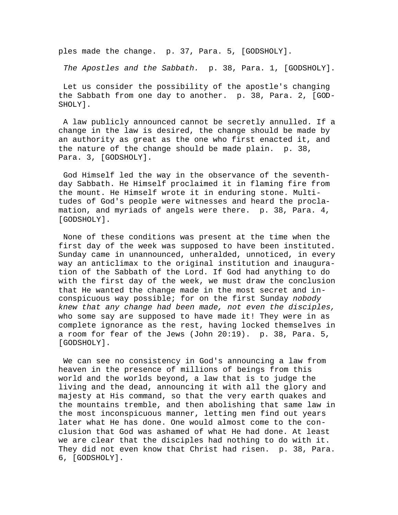ples made the change. p. 37, Para. 5, [GODSHOLY].

 *The Apostles and the Sabbath.* p. 38, Para. 1, [GODSHOLY].

 Let us consider the possibility of the apostle's changing the Sabbath from one day to another. p. 38, Para. 2, [GOD-SHOLY].

 A law publicly announced cannot be secretly annulled. If a change in the law is desired, the change should be made by an authority as great as the one who first enacted it, and the nature of the change should be made plain. p. 38, Para. 3, [GODSHOLY].

 God Himself led the way in the observance of the seventhday Sabbath. He Himself proclaimed it in flaming fire from the mount. He Himself wrote it in enduring stone. Multitudes of God's people were witnesses and heard the proclamation, and myriads of angels were there. p. 38, Para. 4, [GODSHOLY].

 None of these conditions was present at the time when the first day of the week was supposed to have been instituted. Sunday came in unannounced, unheralded, unnoticed, in every way an anticlimax to the original institution and inauguration of the Sabbath of the Lord. If God had anything to do with the first day of the week, we must draw the conclusion that He wanted the change made in the most secret and inconspicuous way possible; for on the first Sunday *nobody knew that any change had been made, not even the disciples,* who some say are supposed to have made it! They were in as complete ignorance as the rest, having locked themselves in a room for fear of the Jews (John 20:19). p. 38, Para. 5, [GODSHOLY].

 We can see no consistency in God's announcing a law from heaven in the presence of millions of beings from this world and the worlds beyond, a law that is to judge the living and the dead, announcing it with all the glory and majesty at His command, so that the very earth quakes and the mountains tremble, and then abolishing that same law in the most inconspicuous manner, letting men find out years later what He has done. One would almost come to the conclusion that God was ashamed of what He had done. At least we are clear that the disciples had nothing to do with it. They did not even know that Christ had risen. p. 38, Para. 6, [GODSHOLY].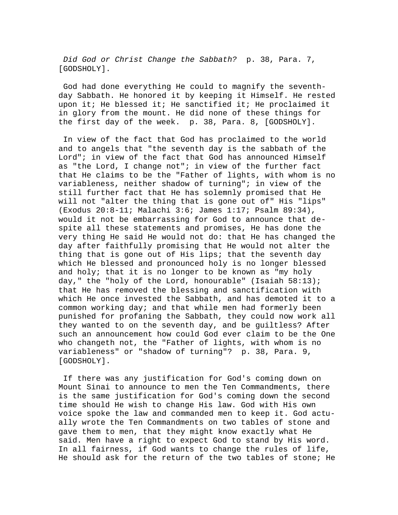*Did God or Christ Change the Sabbath?* p. 38, Para. 7, [GODSHOLY].

 God had done everything He could to magnify the seventhday Sabbath. He honored it by keeping it Himself. He rested upon it; He blessed it; He sanctified it; He proclaimed it in glory from the mount. He did none of these things for the first day of the week. p. 38, Para. 8, [GODSHOLY].

 In view of the fact that God has proclaimed to the world and to angels that "the seventh day is the sabbath of the Lord"; in view of the fact that God has announced Himself as "the Lord, I change not"; in view of the further fact that He claims to be the "Father of lights, with whom is no variableness, neither shadow of turning"; in view of the still further fact that He has solemnly promised that He will not "alter the thing that is gone out of" His "lips" (Exodus 20:8-11; Malachi 3:6; James 1:17; Psalm 89:34), would it not be embarrassing for God to announce that despite all these statements and promises, He has done the very thing He said He would not do: that He has changed the day after faithfully promising that He would not alter the thing that is gone out of His lips; that the seventh day which He blessed and pronounced holy is no longer blessed and holy; that it is no longer to be known as "my holy day," the "holy of the Lord, honourable" (Isaiah 58:13); that He has removed the blessing and sanctification with which He once invested the Sabbath, and has demoted it to a common working day; and that while men had formerly been punished for profaning the Sabbath, they could now work all they wanted to on the seventh day, and be guiltless? After such an announcement how could God ever claim to be the One who changeth not, the "Father of lights, with whom is no variableness" or "shadow of turning"? p. 38, Para. 9, [GODSHOLY].

 If there was any justification for God's coming down on Mount Sinai to announce to men the Ten Commandments, there is the same justification for God's coming down the second time should He wish to change His law. God with His own voice spoke the law and commanded men to keep it. God actually wrote the Ten Commandments on two tables of stone and gave them to men, that they might know exactly what He said. Men have a right to expect God to stand by His word. In all fairness, if God wants to change the rules of life, He should ask for the return of the two tables of stone; He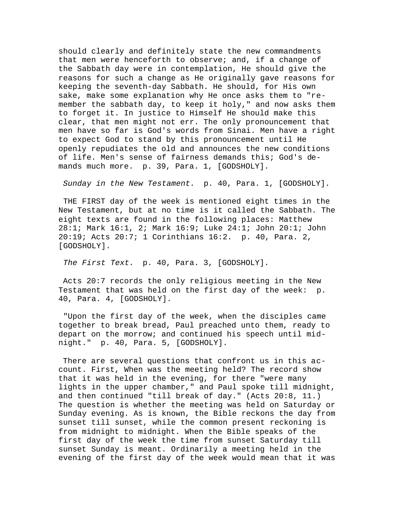should clearly and definitely state the new commandments that men were henceforth to observe; and, if a change of the Sabbath day were in contemplation, He should give the reasons for such a change as He originally gave reasons for keeping the seventh-day Sabbath. He should, for His own sake, make some explanation why He once asks them to "remember the sabbath day, to keep it holy," and now asks them to forget it. In justice to Himself He should make this clear, that men might not err. The only pronouncement that men have so far is God's words from Sinai. Men have a right to expect God to stand by this pronouncement until He openly repudiates the old and announces the new conditions of life. Men's sense of fairness demands this; God's demands much more. p. 39, Para. 1, [GODSHOLY].

 *Sunday in the New Testament.* p. 40, Para. 1, [GODSHOLY].

 THE FIRST day of the week is mentioned eight times in the New Testament, but at no time is it called the Sabbath. The eight texts are found in the following places: Matthew 28:1; Mark 16:1, 2; Mark 16:9; Luke 24:1; John 20:1; John 20:19; Acts 20:7; 1 Corinthians 16:2. p. 40, Para. 2, [GODSHOLY].

 *The First Text.* p. 40, Para. 3, [GODSHOLY].

 Acts 20:7 records the only religious meeting in the New Testament that was held on the first day of the week: p. 40, Para. 4, [GODSHOLY].

 "Upon the first day of the week, when the disciples came together to break bread, Paul preached unto them, ready to depart on the morrow; and continued his speech until midnight." p. 40, Para. 5, [GODSHOLY].

 There are several questions that confront us in this account. First, When was the meeting held? The record show that it was held in the evening, for there "were many lights in the upper chamber," and Paul spoke till midnight, and then continued "till break of day." (Acts 20:8, 11.) The question is whether the meeting was held on Saturday or Sunday evening. As is known, the Bible reckons the day from sunset till sunset, while the common present reckoning is from midnight to midnight. When the Bible speaks of the first day of the week the time from sunset Saturday till sunset Sunday is meant. Ordinarily a meeting held in the evening of the first day of the week would mean that it was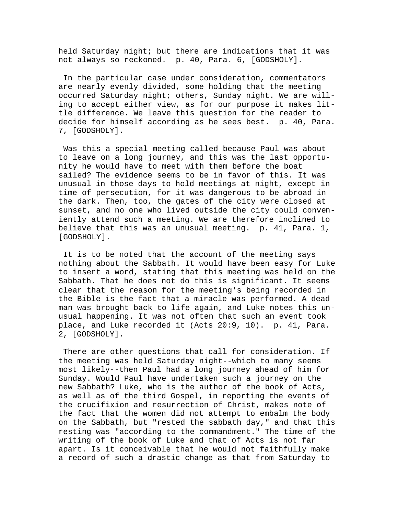held Saturday night; but there are indications that it was not always so reckoned. p. 40, Para. 6, [GODSHOLY].

 In the particular case under consideration, commentators are nearly evenly divided, some holding that the meeting occurred Saturday night; others, Sunday night. We are willing to accept either view, as for our purpose it makes little difference. We leave this question for the reader to decide for himself according as he sees best. p. 40, Para. 7, [GODSHOLY].

 Was this a special meeting called because Paul was about to leave on a long journey, and this was the last opportunity he would have to meet with them before the boat sailed? The evidence seems to be in favor of this. It was unusual in those days to hold meetings at night, except in time of persecution, for it was dangerous to be abroad in the dark. Then, too, the gates of the city were closed at sunset, and no one who lived outside the city could conveniently attend such a meeting. We are therefore inclined to believe that this was an unusual meeting. p. 41, Para. 1, [GODSHOLY].

 It is to be noted that the account of the meeting says nothing about the Sabbath. It would have been easy for Luke to insert a word, stating that this meeting was held on the Sabbath. That he does not do this is significant. It seems clear that the reason for the meeting's being recorded in the Bible is the fact that a miracle was performed. A dead man was brought back to life again, and Luke notes this unusual happening. It was not often that such an event took place, and Luke recorded it (Acts 20:9, 10). p. 41, Para. 2, [GODSHOLY].

 There are other questions that call for consideration. If the meeting was held Saturday night--which to many seems most likely--then Paul had a long journey ahead of him for Sunday. Would Paul have undertaken such a journey on the new Sabbath? Luke, who is the author of the book of Acts, as well as of the third Gospel, in reporting the events of the crucifixion and resurrection of Christ, makes note of the fact that the women did not attempt to embalm the body on the Sabbath, but "rested the sabbath day," and that this resting was "according to the commandment." The time of the writing of the book of Luke and that of Acts is not far apart. Is it conceivable that he would not faithfully make a record of such a drastic change as that from Saturday to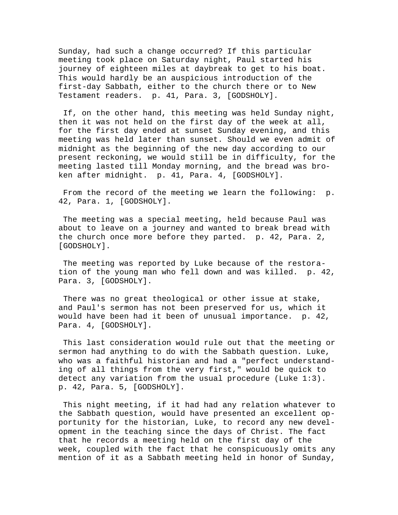Sunday, had such a change occurred? If this particular meeting took place on Saturday night, Paul started his journey of eighteen miles at daybreak to get to his boat. This would hardly be an auspicious introduction of the first-day Sabbath, either to the church there or to New Testament readers. p. 41, Para. 3, [GODSHOLY].

 If, on the other hand, this meeting was held Sunday night, then it was not held on the first day of the week at all, for the first day ended at sunset Sunday evening, and this meeting was held later than sunset. Should we even admit of midnight as the beginning of the new day according to our present reckoning, we would still be in difficulty, for the meeting lasted till Monday morning, and the bread was broken after midnight. p. 41, Para. 4, [GODSHOLY].

 From the record of the meeting we learn the following: p. 42, Para. 1, [GODSHOLY].

 The meeting was a special meeting, held because Paul was about to leave on a journey and wanted to break bread with the church once more before they parted. p. 42, Para. 2, [GODSHOLY].

 The meeting was reported by Luke because of the restoration of the young man who fell down and was killed. p. 42, Para. 3, [GODSHOLY].

 There was no great theological or other issue at stake, and Paul's sermon has not been preserved for us, which it would have been had it been of unusual importance. p. 42, Para. 4, [GODSHOLY].

 This last consideration would rule out that the meeting or sermon had anything to do with the Sabbath question. Luke, who was a faithful historian and had a "perfect understanding of all things from the very first," would be quick to detect any variation from the usual procedure (Luke 1:3). p. 42, Para. 5, [GODSHOLY].

 This night meeting, if it had had any relation whatever to the Sabbath question, would have presented an excellent opportunity for the historian, Luke, to record any new development in the teaching since the days of Christ. The fact that he records a meeting held on the first day of the week, coupled with the fact that he conspicuously omits any mention of it as a Sabbath meeting held in honor of Sunday,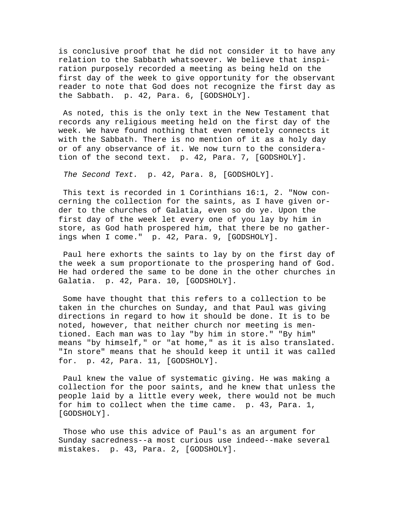is conclusive proof that he did not consider it to have any relation to the Sabbath whatsoever. We believe that inspiration purposely recorded a meeting as being held on the first day of the week to give opportunity for the observant reader to note that God does not recognize the first day as the Sabbath. p. 42, Para. 6, [GODSHOLY].

 As noted, this is the only text in the New Testament that records any religious meeting held on the first day of the week. We have found nothing that even remotely connects it with the Sabbath. There is no mention of it as a holy day or of any observance of it. We now turn to the consideration of the second text. p. 42, Para. 7, [GODSHOLY].

 *The Second Text.* p. 42, Para. 8, [GODSHOLY].

 This text is recorded in 1 Corinthians 16:1, 2. "Now concerning the collection for the saints, as I have given order to the churches of Galatia, even so do ye. Upon the first day of the week let every one of you lay by him in store, as God hath prospered him, that there be no gatherings when I come." p. 42, Para. 9, [GODSHOLY].

 Paul here exhorts the saints to lay by on the first day of the week a sum proportionate to the prospering hand of God. He had ordered the same to be done in the other churches in Galatia. p. 42, Para. 10, [GODSHOLY].

 Some have thought that this refers to a collection to be taken in the churches on Sunday, and that Paul was giving directions in regard to how it should be done. It is to be noted, however, that neither church nor meeting is mentioned. Each man was to lay "by him in store." "By him" means "by himself," or "at home," as it is also translated. "In store" means that he should keep it until it was called for. p. 42, Para. 11, [GODSHOLY].

 Paul knew the value of systematic giving. He was making a collection for the poor saints, and he knew that unless the people laid by a little every week, there would not be much for him to collect when the time came. p. 43, Para. 1, [GODSHOLY].

 Those who use this advice of Paul's as an argument for Sunday sacredness--a most curious use indeed--make several mistakes. p. 43, Para. 2, [GODSHOLY].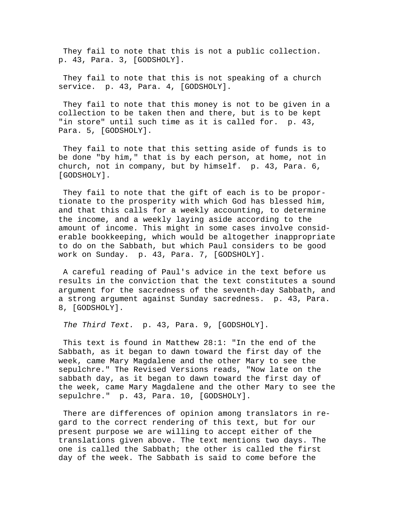They fail to note that this is not a public collection. p. 43, Para. 3, [GODSHOLY].

 They fail to note that this is not speaking of a church service. p. 43, Para. 4, [GODSHOLY].

 They fail to note that this money is not to be given in a collection to be taken then and there, but is to be kept "in store" until such time as it is called for. p. 43, Para. 5, [GODSHOLY].

 They fail to note that this setting aside of funds is to be done "by him," that is by each person, at home, not in church, not in company, but by himself. p. 43, Para. 6, [GODSHOLY].

 They fail to note that the gift of each is to be proportionate to the prosperity with which God has blessed him, and that this calls for a weekly accounting, to determine the income, and a weekly laying aside according to the amount of income. This might in some cases involve considerable bookkeeping, which would be altogether inappropriate to do on the Sabbath, but which Paul considers to be good work on Sunday. p. 43, Para. 7, [GODSHOLY].

 A careful reading of Paul's advice in the text before us results in the conviction that the text constitutes a sound argument for the sacredness of the seventh-day Sabbath, and a strong argument against Sunday sacredness. p. 43, Para. 8, [GODSHOLY].

 *The Third Text.* p. 43, Para. 9, [GODSHOLY].

 This text is found in Matthew 28:1: "In the end of the Sabbath, as it began to dawn toward the first day of the week, came Mary Magdalene and the other Mary to see the sepulchre." The Revised Versions reads, "Now late on the sabbath day, as it began to dawn toward the first day of the week, came Mary Magdalene and the other Mary to see the sepulchre." p. 43, Para. 10, [GODSHOLY].

 There are differences of opinion among translators in regard to the correct rendering of this text, but for our present purpose we are willing to accept either of the translations given above. The text mentions two days. The one is called the Sabbath; the other is called the first day of the week. The Sabbath is said to come before the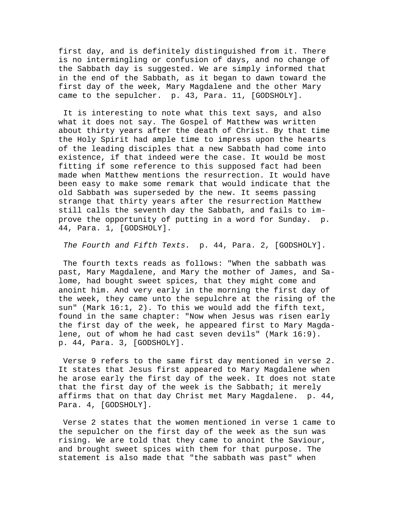first day, and is definitely distinguished from it. There is no intermingling or confusion of days, and no change of the Sabbath day is suggested. We are simply informed that in the end of the Sabbath, as it began to dawn toward the first day of the week, Mary Magdalene and the other Mary came to the sepulcher. p. 43, Para. 11, [GODSHOLY].

 It is interesting to note what this text says, and also what it does not say. The Gospel of Matthew was written about thirty years after the death of Christ. By that time the Holy Spirit had ample time to impress upon the hearts of the leading disciples that a new Sabbath had come into existence, if that indeed were the case. It would be most fitting if some reference to this supposed fact had been made when Matthew mentions the resurrection. It would have been easy to make some remark that would indicate that the old Sabbath was superseded by the new. It seems passing strange that thirty years after the resurrection Matthew still calls the seventh day the Sabbath, and fails to improve the opportunity of putting in a word for Sunday. p. 44, Para. 1, [GODSHOLY].

 *The Fourth and Fifth Texts.* p. 44, Para. 2, [GODSHOLY].

 The fourth texts reads as follows: "When the sabbath was past, Mary Magdalene, and Mary the mother of James, and Salome, had bought sweet spices, that they might come and anoint him. And very early in the morning the first day of the week, they came unto the sepulchre at the rising of the sun" (Mark 16:1, 2). To this we would add the fifth text, found in the same chapter: "Now when Jesus was risen early the first day of the week, he appeared first to Mary Magdalene, out of whom he had cast seven devils" (Mark 16:9). p. 44, Para. 3, [GODSHOLY].

 Verse 9 refers to the same first day mentioned in verse 2. It states that Jesus first appeared to Mary Magdalene when he arose early the first day of the week. It does not state that the first day of the week is the Sabbath; it merely affirms that on that day Christ met Mary Magdalene. p. 44, Para. 4, [GODSHOLY].

 Verse 2 states that the women mentioned in verse 1 came to the sepulcher on the first day of the week as the sun was rising. We are told that they came to anoint the Saviour, and brought sweet spices with them for that purpose. The statement is also made that "the sabbath was past" when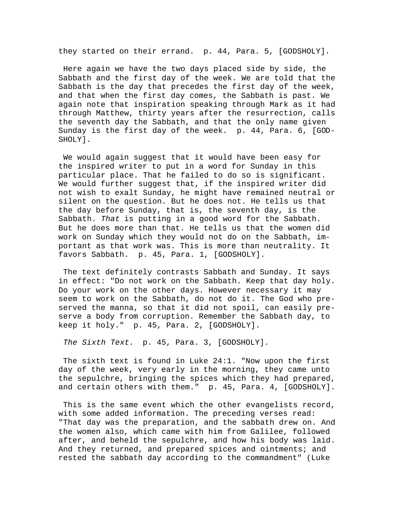they started on their errand. p. 44, Para. 5, [GODSHOLY].

 Here again we have the two days placed side by side, the Sabbath and the first day of the week. We are told that the Sabbath is the day that precedes the first day of the week, and that when the first day comes, the Sabbath is past. We again note that inspiration speaking through Mark as it had through Matthew, thirty years after the resurrection, calls the seventh day the Sabbath, and that the only name given Sunday is the first day of the week. p. 44, Para. 6, [GOD-SHOLY].

 We would again suggest that it would have been easy for the inspired writer to put in a word for Sunday in this particular place. That he failed to do so is significant. We would further suggest that, if the inspired writer did not wish to exalt Sunday, he might have remained neutral or silent on the question. But he does not. He tells us that the day before Sunday, that is, the seventh day, is the Sabbath. *That* is putting in a good word for the Sabbath. But he does more than that. He tells us that the women did work on Sunday which they would not do on the Sabbath, important as that work was. This is more than neutrality. It favors Sabbath. p. 45, Para. 1, [GODSHOLY].

 The text definitely contrasts Sabbath and Sunday. It says in effect: "Do not work on the Sabbath. Keep that day holy. Do your work on the other days. However necessary it may seem to work on the Sabbath, do not do it. The God who preserved the manna, so that it did not spoil, can easily preserve a body from corruption. Remember the Sabbath day, to keep it holy." p. 45, Para. 2, [GODSHOLY].

 *The Sixth Text.* p. 45, Para. 3, [GODSHOLY].

 The sixth text is found in Luke 24:1. "Now upon the first day of the week, very early in the morning, they came unto the sepulchre, bringing the spices which they had prepared, and certain others with them." p. 45, Para. 4, [GODSHOLY].

 This is the same event which the other evangelists record, with some added information. The preceding verses read: "That day was the preparation, and the sabbath drew on. And the women also, which came with him from Galilee, followed after, and beheld the sepulchre, and how his body was laid. And they returned, and prepared spices and ointments; and rested the sabbath day according to the commandment" (Luke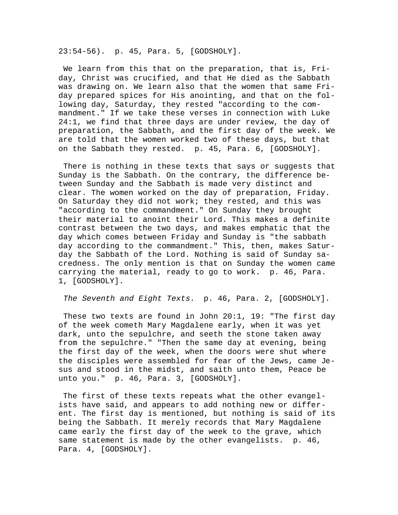23:54-56). p. 45, Para. 5, [GODSHOLY].

 We learn from this that on the preparation, that is, Friday, Christ was crucified, and that He died as the Sabbath was drawing on. We learn also that the women that same Friday prepared spices for His anointing, and that on the following day, Saturday, they rested "according to the commandment." If we take these verses in connection with Luke 24:1, we find that three days are under review, the day of preparation, the Sabbath, and the first day of the week. We are told that the women worked two of these days, but that on the Sabbath they rested. p. 45, Para. 6, [GODSHOLY].

 There is nothing in these texts that says or suggests that Sunday is the Sabbath. On the contrary, the difference between Sunday and the Sabbath is made very distinct and clear. The women worked on the day of preparation, Friday. On Saturday they did not work; they rested, and this was "according to the commandment." On Sunday they brought their material to anoint their Lord. This makes a definite contrast between the two days, and makes emphatic that the day which comes between Friday and Sunday is "the sabbath day according to the commandment." This, then, makes Saturday the Sabbath of the Lord. Nothing is said of Sunday sacredness. The only mention is that on Sunday the women came carrying the material, ready to go to work. p. 46, Para. 1, [GODSHOLY].

 *The Seventh and Eight Texts.* p. 46, Para. 2, [GODSHOLY].

 These two texts are found in John 20:1, 19: "The first day of the week cometh Mary Magdalene early, when it was yet dark, unto the sepulchre, and seeth the stone taken away from the sepulchre." "Then the same day at evening, being the first day of the week, when the doors were shut where the disciples were assembled for fear of the Jews, came Jesus and stood in the midst, and saith unto them, Peace be unto you." p. 46, Para. 3, [GODSHOLY].

 The first of these texts repeats what the other evangelists have said, and appears to add nothing new or different. The first day is mentioned, but nothing is said of its being the Sabbath. It merely records that Mary Magdalene came early the first day of the week to the grave, which same statement is made by the other evangelists. p. 46, Para. 4, [GODSHOLY].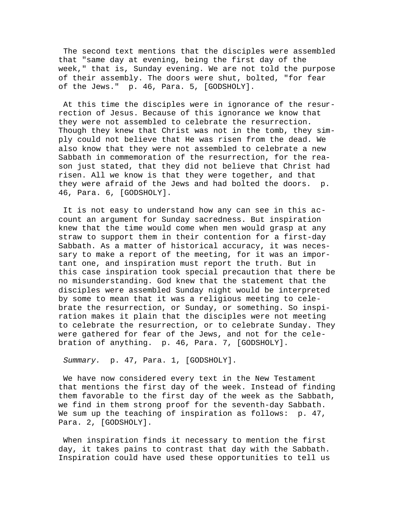The second text mentions that the disciples were assembled that "same day at evening, being the first day of the week," that is, Sunday evening. We are not told the purpose of their assembly. The doors were shut, bolted, "for fear of the Jews." p. 46, Para. 5, [GODSHOLY].

 At this time the disciples were in ignorance of the resurrection of Jesus. Because of this ignorance we know that they were not assembled to celebrate the resurrection. Though they knew that Christ was not in the tomb, they simply could not believe that He was risen from the dead. We also know that they were not assembled to celebrate a new Sabbath in commemoration of the resurrection, for the reason just stated, that they did not believe that Christ had risen. All we know is that they were together, and that they were afraid of the Jews and had bolted the doors. p. 46, Para. 6, [GODSHOLY].

 It is not easy to understand how any can see in this account an argument for Sunday sacredness. But inspiration knew that the time would come when men would grasp at any straw to support them in their contention for a first-day Sabbath. As a matter of historical accuracy, it was necessary to make a report of the meeting, for it was an important one, and inspiration must report the truth. But in this case inspiration took special precaution that there be no misunderstanding. God knew that the statement that the disciples were assembled Sunday night would be interpreted by some to mean that it was a religious meeting to celebrate the resurrection, or Sunday, or something. So inspiration makes it plain that the disciples were not meeting to celebrate the resurrection, or to celebrate Sunday. They were gathered for fear of the Jews, and not for the celebration of anything. p. 46, Para. 7, [GODSHOLY].

 *Summary.* p. 47, Para. 1, [GODSHOLY].

 We have now considered every text in the New Testament that mentions the first day of the week. Instead of finding them favorable to the first day of the week as the Sabbath, we find in them strong proof for the seventh-day Sabbath. We sum up the teaching of inspiration as follows: p. 47, Para. 2, [GODSHOLY].

 When inspiration finds it necessary to mention the first day, it takes pains to contrast that day with the Sabbath. Inspiration could have used these opportunities to tell us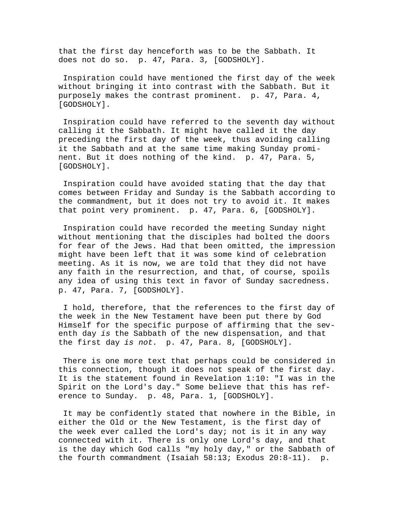that the first day henceforth was to be the Sabbath. It does not do so. p. 47, Para. 3, [GODSHOLY].

 Inspiration could have mentioned the first day of the week without bringing it into contrast with the Sabbath. But it purposely makes the contrast prominent. p. 47, Para. 4, [GODSHOLY].

 Inspiration could have referred to the seventh day without calling it the Sabbath. It might have called it the day preceding the first day of the week, thus avoiding calling it the Sabbath and at the same time making Sunday prominent. But it does nothing of the kind. p. 47, Para. 5, [GODSHOLY].

 Inspiration could have avoided stating that the day that comes between Friday and Sunday is the Sabbath according to the commandment, but it does not try to avoid it. It makes that point very prominent. p. 47, Para. 6, [GODSHOLY].

 Inspiration could have recorded the meeting Sunday night without mentioning that the disciples had bolted the doors for fear of the Jews. Had that been omitted, the impression might have been left that it was some kind of celebration meeting. As it is now, we are told that they did not have any faith in the resurrection, and that, of course, spoils any idea of using this text in favor of Sunday sacredness. p. 47, Para. 7, [GODSHOLY].

 I hold, therefore, that the references to the first day of the week in the New Testament have been put there by God Himself for the specific purpose of affirming that the seventh day *is* the Sabbath of the new dispensation, and that the first day *is not.* p. 47, Para. 8, [GODSHOLY].

 There is one more text that perhaps could be considered in this connection, though it does not speak of the first day. It is the statement found in Revelation 1:10: "I was in the Spirit on the Lord's day." Some believe that this has reference to Sunday. p. 48, Para. 1, [GODSHOLY].

 It may be confidently stated that nowhere in the Bible, in either the Old or the New Testament, is the first day of the week ever called the Lord's day; not is it in any way connected with it. There is only one Lord's day, and that is the day which God calls "my holy day," or the Sabbath of the fourth commandment (Isaiah 58:13; Exodus 20:8-11). p.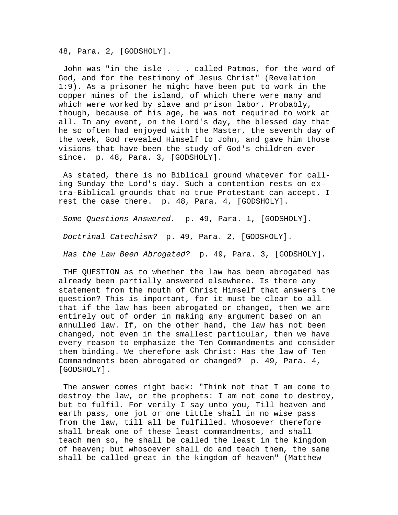48, Para. 2, [GODSHOLY].

 John was "in the isle . . . called Patmos, for the word of God, and for the testimony of Jesus Christ" (Revelation 1:9). As a prisoner he might have been put to work in the copper mines of the island, of which there were many and which were worked by slave and prison labor. Probably, though, because of his age, he was not required to work at all. In any event, on the Lord's day, the blessed day that he so often had enjoyed with the Master, the seventh day of the week, God revealed Himself to John, and gave him those visions that have been the study of God's children ever since. p. 48, Para. 3, [GODSHOLY].

 As stated, there is no Biblical ground whatever for calling Sunday the Lord's day. Such a contention rests on extra-Biblical grounds that no true Protestant can accept. I rest the case there. p. 48, Para. 4, [GODSHOLY].

 *Some Questions Answered.* p. 49, Para. 1, [GODSHOLY].

 *Doctrinal Catechism?* p. 49, Para. 2, [GODSHOLY].

 *Has the Law Been Abrogated?* p. 49, Para. 3, [GODSHOLY].

 THE QUESTION as to whether the law has been abrogated has already been partially answered elsewhere. Is there any statement from the mouth of Christ Himself that answers the question? This is important, for it must be clear to all that if the law has been abrogated or changed, then we are entirely out of order in making any argument based on an annulled law. If, on the other hand, the law has not been changed, not even in the smallest particular, then we have every reason to emphasize the Ten Commandments and consider them binding. We therefore ask Christ: Has the law of Ten Commandments been abrogated or changed? p. 49, Para. 4, [GODSHOLY].

 The answer comes right back: "Think not that I am come to destroy the law, or the prophets: I am not come to destroy, but to fulfil. For verily I say unto you, Till heaven and earth pass, one jot or one tittle shall in no wise pass from the law, till all be fulfilled. Whosoever therefore shall break one of these least commandments, and shall teach men so, he shall be called the least in the kingdom of heaven; but whosoever shall do and teach them, the same shall be called great in the kingdom of heaven" (Matthew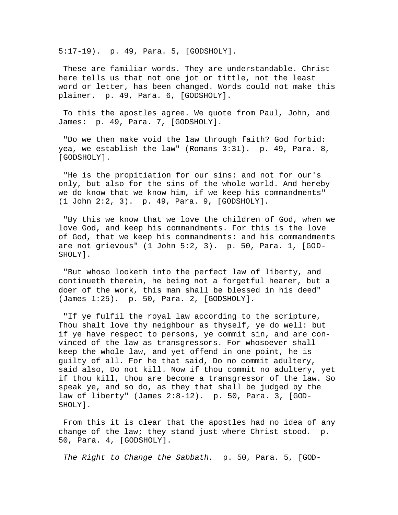5:17-19). p. 49, Para. 5, [GODSHOLY].

 These are familiar words. They are understandable. Christ here tells us that not one jot or tittle, not the least word or letter, has been changed. Words could not make this plainer. p. 49, Para. 6, [GODSHOLY].

 To this the apostles agree. We quote from Paul, John, and James: p. 49, Para. 7, [GODSHOLY].

 "Do we then make void the law through faith? God forbid: yea, we establish the law" (Romans 3:31). p. 49, Para. 8, [GODSHOLY].

 "He is the propitiation for our sins: and not for our's only, but also for the sins of the whole world. And hereby we do know that we know him, if we keep his commandments" (1 John 2:2, 3). p. 49, Para. 9, [GODSHOLY].

 "By this we know that we love the children of God, when we love God, and keep his commandments. For this is the love of God, that we keep his commandments: and his commandments are not grievous" (1 John 5:2, 3). p. 50, Para. 1, [GOD-SHOLY].

 "But whoso looketh into the perfect law of liberty, and continueth therein, he being not a forgetful hearer, but a doer of the work, this man shall be blessed in his deed" (James 1:25). p. 50, Para. 2, [GODSHOLY].

 "If ye fulfil the royal law according to the scripture, Thou shalt love thy neighbour as thyself, ye do well: but if ye have respect to persons, ye commit sin, and are convinced of the law as transgressors. For whosoever shall keep the whole law, and yet offend in one point, he is guilty of all. For he that said, Do no commit adultery, said also, Do not kill. Now if thou commit no adultery, yet if thou kill, thou are become a transgressor of the law. So speak ye, and so do, as they that shall be judged by the law of liberty" (James 2:8-12). p. 50, Para. 3, [GOD-SHOLY].

 From this it is clear that the apostles had no idea of any change of the law; they stand just where Christ stood. p. 50, Para. 4, [GODSHOLY].

 *The Right to Change the Sabbath.* p. 50, Para. 5, [GOD-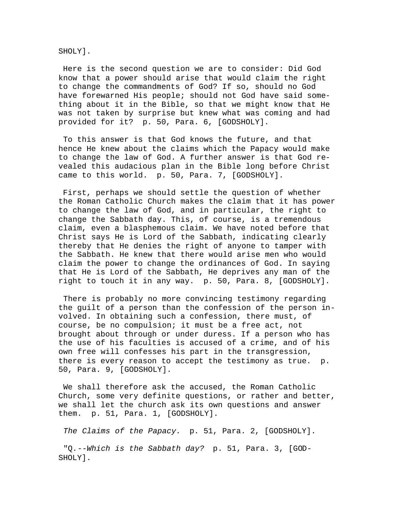SHOLY].

 Here is the second question we are to consider: Did God know that a power should arise that would claim the right to change the commandments of God? If so, should no God have forewarned His people; should not God have said something about it in the Bible, so that we might know that He was not taken by surprise but knew what was coming and had provided for it? p. 50, Para. 6, [GODSHOLY].

 To this answer is that God knows the future, and that hence He knew about the claims which the Papacy would make to change the law of God. A further answer is that God revealed this audacious plan in the Bible long before Christ came to this world. p. 50, Para. 7, [GODSHOLY].

 First, perhaps we should settle the question of whether the Roman Catholic Church makes the claim that it has power to change the law of God, and in particular, the right to change the Sabbath day. This, of course, is a tremendous claim, even a blasphemous claim. We have noted before that Christ says He is Lord of the Sabbath, indicating clearly thereby that He denies the right of anyone to tamper with the Sabbath. He knew that there would arise men who would claim the power to change the ordinances of God. In saying that He is Lord of the Sabbath, He deprives any man of the right to touch it in any way. p. 50, Para. 8, [GODSHOLY].

 There is probably no more convincing testimony regarding the guilt of a person than the confession of the person involved. In obtaining such a confession, there must, of course, be no compulsion; it must be a free act, not brought about through or under duress. If a person who has the use of his faculties is accused of a crime, and of his own free will confesses his part in the transgression, there is every reason to accept the testimony as true. p. 50, Para. 9, [GODSHOLY].

 We shall therefore ask the accused, the Roman Catholic Church, some very definite questions, or rather and better, we shall let the church ask its own questions and answer them. p. 51, Para. 1, [GODSHOLY].

 *The Claims of the Papacy.* p. 51, Para. 2, [GODSHOLY].

 "Q.*--Which is the Sabbath day?* p. 51, Para. 3, [GOD-SHOLY].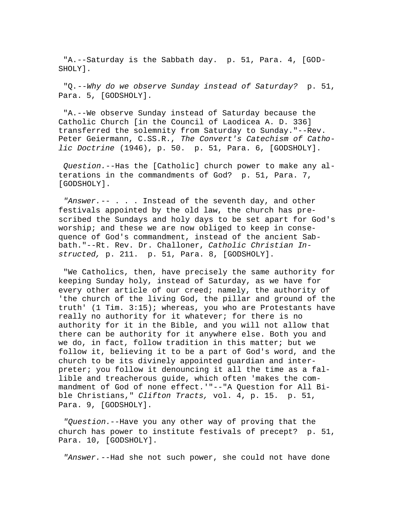"A.--Saturday is the Sabbath day. p. 51, Para. 4, [GOD-SHOLY].

 "Q.*--Why do we observe Sunday instead of Saturday?* p. 51, Para. 5, [GODSHOLY].

 "A.--We observe Sunday instead of Saturday because the Catholic Church [in the Council of Laodicea A. D. 336] transferred the solemnity from Saturday to Sunday."--Rev. Peter Geiermann, C.SS.R., *The Convert's Catechism of Catholic Doctrine* (1946), p. 50. p. 51, Para. 6, [GODSHOLY].

 *Question.*--Has the [Catholic] church power to make any alterations in the commandments of God? p. 51, Para. 7, [GODSHOLY].

 *"Answer.*-- . . . Instead of the seventh day, and other festivals appointed by the old law, the church has prescribed the Sundays and holy days to be set apart for God's worship; and these we are now obliged to keep in consequence of God's commandment, instead of the ancient Sabbath."--Rt. Rev. Dr. Challoner, *Catholic Christian Instructed,* p. 211. p. 51, Para. 8, [GODSHOLY].

 "We Catholics, then, have precisely the same authority for keeping Sunday holy, instead of Saturday, as we have for every other article of our creed; namely, the authority of 'the church of the living God, the pillar and ground of the truth' (1 Tim. 3:15); whereas, you who are Protestants have really no authority for it whatever; for there is no authority for it in the Bible, and you will not allow that there can be authority for it anywhere else. Both you and we do, in fact, follow tradition in this matter; but we follow it, believing it to be a part of God's word, and the church to be its divinely appointed guardian and interpreter; you follow it denouncing it all the time as a fallible and treacherous guide, which often 'makes the commandment of God of none effect.'"--"A Question for All Bible Christians," *Clifton Tracts,* vol. 4, p. 15. p. 51, Para. 9, [GODSHOLY].

 *"Question.*--Have you any other way of proving that the church has power to institute festivals of precept? p. 51, Para. 10, [GODSHOLY].

 *"Answer.*--Had she not such power, she could not have done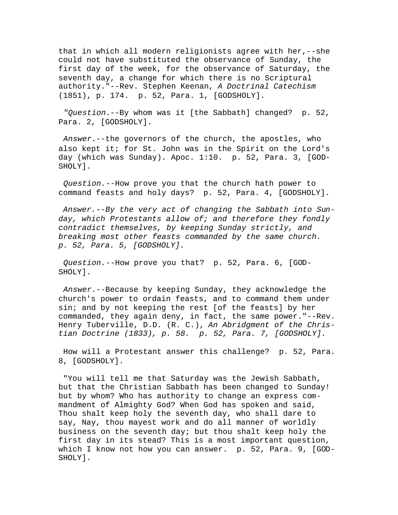that in which all modern religionists agree with her,--she could not have substituted the observance of Sunday, the first day of the week, for the observance of Saturday, the seventh day, a change for which there is no Scriptural authority."--Rev. Stephen Keenan, *A Doctrinal Catechism* (1851), p. 174. p. 52, Para. 1, [GODSHOLY].

 *"Question.*--By whom was it [the Sabbath] changed? p. 52, Para. 2, [GODSHOLY].

 *Answer.*--the governors of the church, the apostles, who also kept it; for St. John was in the Spirit on the Lord's day (which was Sunday). Apoc. 1:10. p. 52, Para. 3, [GOD-SHOLY].

 *Question.*--How prove you that the church hath power to command feasts and holy days? p. 52, Para. 4, [GODSHOLY].

 *Answer.--By the very act of changing the Sabbath into Sunday, which Protestants allow of; and therefore they fondly contradict themselves, by keeping Sunday strictly, and breaking most other feasts commanded by the same church. p. 52, Para. 5, [GODSHOLY].*

 *Question.*--How prove you that? p. 52, Para. 6, [GOD-SHOLY].

 *Answer.*--Because by keeping Sunday, they acknowledge the church's power to ordain feasts, and to command them under sin; and by not keeping the rest [of the feasts] by her commanded, they again deny, in fact, the same power."--Rev. Henry Tuberville, D.D. (R. C.), *An Abridgment of the Christian Doctrine (1833), p. 58. p. 52, Para. 7, [GODSHOLY].*

 How will a Protestant answer this challenge? p. 52, Para. 8, [GODSHOLY].

 "You will tell me that Saturday was the Jewish Sabbath, but that the Christian Sabbath has been changed to Sunday! but by whom? Who has authority to change an express commandment of Almighty God? When God has spoken and said, Thou shalt keep holy the seventh day, who shall dare to say, Nay, thou mayest work and do all manner of worldly business on the seventh day; but thou shalt keep holy the first day in its stead? This is a most important question, which I know not how you can answer. p. 52, Para. 9, [GOD-SHOLY].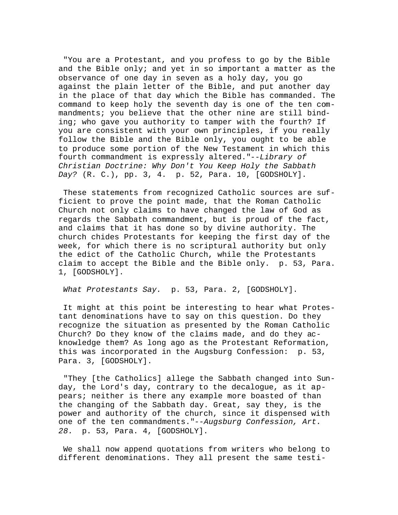"You are a Protestant, and you profess to go by the Bible and the Bible only; and yet in so important a matter as the observance of one day in seven as a holy day, you go against the plain letter of the Bible, and put another day in the place of that day which the Bible has commanded. The command to keep holy the seventh day is one of the ten commandments; you believe that the other nine are still binding; who gave you authority to tamper with the fourth? If you are consistent with your own principles, if you really follow the Bible and the Bible only, you ought to be able to produce some portion of the New Testament in which this fourth commandment is expressly altered."*--Library of Christian Doctrine: Why Don't You Keep Holy the Sabbath Day?* (R. C.), pp. 3, 4. p. 52, Para. 10, [GODSHOLY].

 These statements from recognized Catholic sources are sufficient to prove the point made, that the Roman Catholic Church not only claims to have changed the law of God as regards the Sabbath commandment, but is proud of the fact, and claims that it has done so by divine authority. The church chides Protestants for keeping the first day of the week, for which there is no scriptural authority but only the edict of the Catholic Church, while the Protestants claim to accept the Bible and the Bible only. p. 53, Para. 1, [GODSHOLY].

 *What Protestants Say.* p. 53, Para. 2, [GODSHOLY].

 It might at this point be interesting to hear what Protestant denominations have to say on this question. Do they recognize the situation as presented by the Roman Catholic Church? Do they know of the claims made, and do they acknowledge them? As long ago as the Protestant Reformation, this was incorporated in the Augsburg Confession: p. 53, Para. 3, [GODSHOLY].

 "They [the Catholics] allege the Sabbath changed into Sunday, the Lord's day, contrary to the decalogue, as it appears; neither is there any example more boasted of than the changing of the Sabbath day. Great, say they, is the power and authority of the church, since it dispensed with one of the ten commandments."*--Augsburg Confession, Art. 28.* p. 53, Para. 4, [GODSHOLY].

 We shall now append quotations from writers who belong to different denominations. They all present the same testi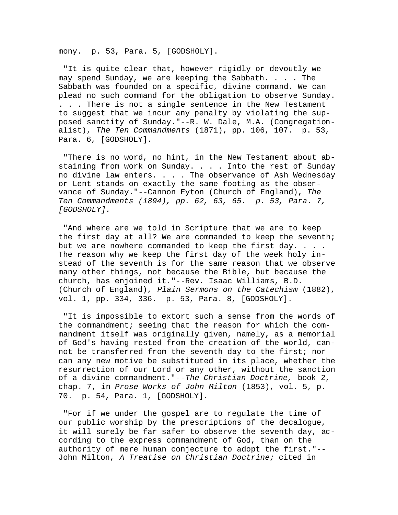mony. p. 53, Para. 5, [GODSHOLY].

 "It is quite clear that, however rigidly or devoutly we may spend Sunday, we are keeping the Sabbath. . . . The Sabbath was founded on a specific, divine command. We can plead no such command for the obligation to observe Sunday. . . . There is not a single sentence in the New Testament to suggest that we incur any penalty by violating the supposed sanctity of Sunday."--R. W. Dale, M.A. (Congregationalist), *The Ten Commandments* (1871), pp. 106, 107. p. 53, Para. 6, [GODSHOLY].

 "There is no word, no hint, in the New Testament about abstaining from work on Sunday. . . . Into the rest of Sunday no divine law enters. . . . The observance of Ash Wednesday or Lent stands on exactly the same footing as the observance of Sunday."--Cannon Eyton (Church of England), *The Ten Commandments (1894), pp. 62, 63, 65. p. 53, Para. 7, [GODSHOLY].*

 "And where are we told in Scripture that we are to keep the first day at all? We are commanded to keep the seventh; but we are nowhere commanded to keep the first day. . . . The reason why we keep the first day of the week holy instead of the seventh is for the same reason that we observe many other things, not because the Bible, but because the church, has enjoined it."--Rev. Isaac Williams, B.D. (Church of England), *Plain Sermons on the Catechism* (1882), vol. 1, pp. 334, 336. p. 53, Para. 8, [GODSHOLY].

 "It is impossible to extort such a sense from the words of the commandment; seeing that the reason for which the commandment itself was originally given, namely, as a memorial of God's having rested from the creation of the world, cannot be transferred from the seventh day to the first; nor can any new motive be substituted in its place, whether the resurrection of our Lord or any other, without the sanction of a divine commandment."*--The Christian Doctrine,* book 2, chap. 7, in *Prose Works of John Milton* (1853), vol. 5, p. 70. p. 54, Para. 1, [GODSHOLY].

 "For if we under the gospel are to regulate the time of our public worship by the prescriptions of the decalogue, it will surely be far safer to observe the seventh day, according to the express commandment of God, than on the authority of mere human conjecture to adopt the first."-- John Milton, *A Treatise on Christian Doctrine;* cited in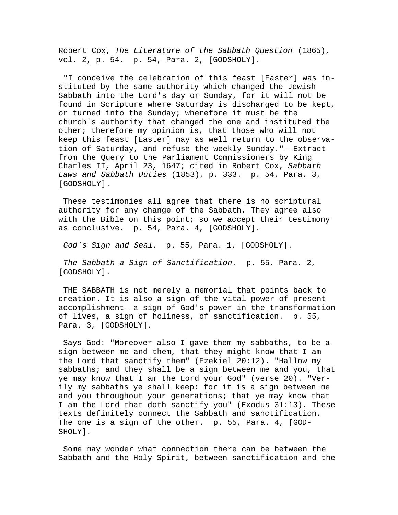Robert Cox, *The Literature of the Sabbath Question* (1865), vol. 2, p. 54. p. 54, Para. 2, [GODSHOLY].

 "I conceive the celebration of this feast [Easter] was instituted by the same authority which changed the Jewish Sabbath into the Lord's day or Sunday, for it will not be found in Scripture where Saturday is discharged to be kept, or turned into the Sunday; wherefore it must be the church's authority that changed the one and instituted the other; therefore my opinion is, that those who will not keep this feast [Easter] may as well return to the observation of Saturday, and refuse the weekly Sunday."--Extract from the Query to the Parliament Commissioners by King Charles II, April 23, 1647; cited in Robert Cox, *Sabbath Laws and Sabbath Duties* (1853), p. 333. p. 54, Para. 3, [GODSHOLY].

 These testimonies all agree that there is no scriptural authority for any change of the Sabbath. They agree also with the Bible on this point; so we accept their testimony as conclusive. p. 54, Para. 4, [GODSHOLY].

 *God's Sign and Seal.* p. 55, Para. 1, [GODSHOLY].

 *The Sabbath a Sign of Sanctification.* p. 55, Para. 2, [GODSHOLY].

 THE SABBATH is not merely a memorial that points back to creation. It is also a sign of the vital power of present accomplishment--a sign of God's power in the transformation of lives, a sign of holiness, of sanctification. p. 55, Para. 3, [GODSHOLY].

 Says God: "Moreover also I gave them my sabbaths, to be a sign between me and them, that they might know that I am the Lord that sanctify them" (Ezekiel 20:12). "Hallow my sabbaths; and they shall be a sign between me and you, that ye may know that I am the Lord your God" (verse 20). "Verily my sabbaths ye shall keep: for it is a sign between me and you throughout your generations; that ye may know that I am the Lord that doth sanctify you" (Exodus 31:13). These texts definitely connect the Sabbath and sanctification. The one is a sign of the other. p. 55, Para. 4, [GOD-SHOLY].

 Some may wonder what connection there can be between the Sabbath and the Holy Spirit, between sanctification and the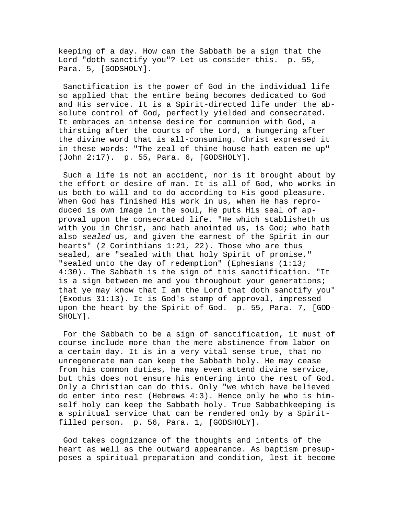keeping of a day. How can the Sabbath be a sign that the Lord "doth sanctify you"? Let us consider this. p. 55, Para. 5, [GODSHOLY].

 Sanctification is the power of God in the individual life so applied that the entire being becomes dedicated to God and His service. It is a Spirit-directed life under the absolute control of God, perfectly yielded and consecrated. It embraces an intense desire for communion with God, a thirsting after the courts of the Lord, a hungering after the divine word that is all-consuming. Christ expressed it in these words: "The zeal of thine house hath eaten me up" (John 2:17). p. 55, Para. 6, [GODSHOLY].

 Such a life is not an accident, nor is it brought about by the effort or desire of man. It is all of God, who works in us both to will and to do according to His good pleasure. When God has finished His work in us, when He has reproduced is own image in the soul, He puts His seal of approval upon the consecrated life. "He which stablisheth us with you in Christ, and hath anointed us, is God; who hath also *sealed* us, and given the earnest of the Spirit in our hearts" (2 Corinthians 1:21, 22). Those who are thus sealed, are "sealed with that holy Spirit of promise," "sealed unto the day of redemption" (Ephesians (1:13; 4:30). The Sabbath is the sign of this sanctification. "It is a sign between me and you throughout your generations; that ye may know that I am the Lord that doth sanctify you" (Exodus 31:13). It is God's stamp of approval, impressed upon the heart by the Spirit of God. p. 55, Para. 7, [GOD-SHOLY].

 For the Sabbath to be a sign of sanctification, it must of course include more than the mere abstinence from labor on a certain day. It is in a very vital sense true, that no unregenerate man can keep the Sabbath holy. He may cease from his common duties, he may even attend divine service, but this does not ensure his entering into the rest of God. Only a Christian can do this. Only "we which have believed do enter into rest (Hebrews 4:3). Hence only he who is himself holy can keep the Sabbath holy. True Sabbathkeeping is a spiritual service that can be rendered only by a Spiritfilled person. p. 56, Para. 1, [GODSHOLY].

 God takes cognizance of the thoughts and intents of the heart as well as the outward appearance. As baptism presupposes a spiritual preparation and condition, lest it become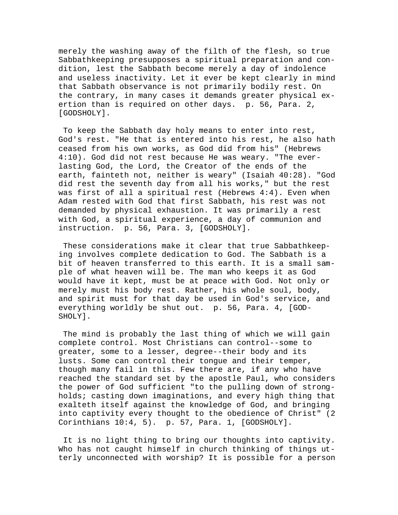merely the washing away of the filth of the flesh, so true Sabbathkeeping presupposes a spiritual preparation and condition, lest the Sabbath become merely a day of indolence and useless inactivity. Let it ever be kept clearly in mind that Sabbath observance is not primarily bodily rest. On the contrary, in many cases it demands greater physical exertion than is required on other days. p. 56, Para. 2, [GODSHOLY].

 To keep the Sabbath day holy means to enter into rest, God's rest. "He that is entered into his rest, he also hath ceased from his own works, as God did from his" (Hebrews 4:10). God did not rest because He was weary. "The everlasting God, the Lord, the Creator of the ends of the earth, fainteth not, neither is weary" (Isaiah 40:28). "God did rest the seventh day from all his works," but the rest was first of all a spiritual rest (Hebrews 4:4). Even when Adam rested with God that first Sabbath, his rest was not demanded by physical exhaustion. It was primarily a rest with God, a spiritual experience, a day of communion and instruction. p. 56, Para. 3, [GODSHOLY].

 These considerations make it clear that true Sabbathkeeping involves complete dedication to God. The Sabbath is a bit of heaven transferred to this earth. It is a small sample of what heaven will be. The man who keeps it as God would have it kept, must be at peace with God. Not only or merely must his body rest. Rather, his whole soul, body, and spirit must for that day be used in God's service, and everything worldly be shut out. p. 56, Para. 4, [GOD-SHOLY].

 The mind is probably the last thing of which we will gain complete control. Most Christians can control--some to greater, some to a lesser, degree--their body and its lusts. Some can control their tongue and their temper, though many fail in this. Few there are, if any who have reached the standard set by the apostle Paul, who considers the power of God sufficient "to the pulling down of strongholds; casting down imaginations, and every high thing that exalteth itself against the knowledge of God, and bringing into captivity every thought to the obedience of Christ" (2 Corinthians 10:4, 5). p. 57, Para. 1, [GODSHOLY].

 It is no light thing to bring our thoughts into captivity. Who has not caught himself in church thinking of things utterly unconnected with worship? It is possible for a person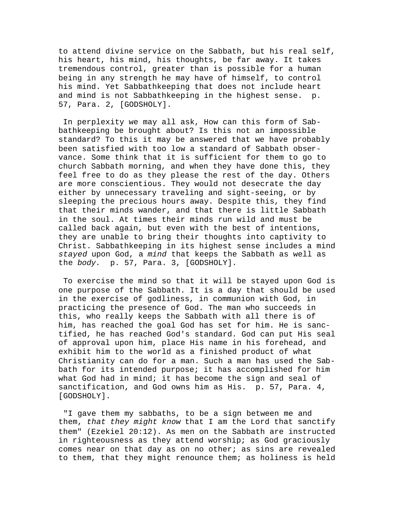to attend divine service on the Sabbath, but his real self, his heart, his mind, his thoughts, be far away. It takes tremendous control, greater than is possible for a human being in any strength he may have of himself, to control his mind. Yet Sabbathkeeping that does not include heart and mind is not Sabbathkeeping in the highest sense. p. 57, Para. 2, [GODSHOLY].

 In perplexity we may all ask, How can this form of Sabbathkeeping be brought about? Is this not an impossible standard? To this it may be answered that we have probably been satisfied with too low a standard of Sabbath observance. Some think that it is sufficient for them to go to church Sabbath morning, and when they have done this, they feel free to do as they please the rest of the day. Others are more conscientious. They would not desecrate the day either by unnecessary traveling and sight-seeing, or by sleeping the precious hours away. Despite this, they find that their minds wander, and that there is little Sabbath in the soul. At times their minds run wild and must be called back again, but even with the best of intentions, they are unable to bring their thoughts into captivity to Christ. Sabbathkeeping in its highest sense includes a mind *stayed* upon God, a *mind* that keeps the Sabbath as well as the *body.* p. 57, Para. 3, [GODSHOLY].

 To exercise the mind so that it will be stayed upon God is one purpose of the Sabbath. It is a day that should be used in the exercise of godliness, in communion with God, in practicing the presence of God. The man who succeeds in this, who really keeps the Sabbath with all there is of him, has reached the goal God has set for him. He is sanctified, he has reached God's standard. God can put His seal of approval upon him, place His name in his forehead, and exhibit him to the world as a finished product of what Christianity can do for a man. Such a man has used the Sabbath for its intended purpose; it has accomplished for him what God had in mind; it has become the sign and seal of sanctification, and God owns him as His. p. 57, Para. 4, [GODSHOLY].

 "I gave them my sabbaths, to be a sign between me and them, *that they might know* that I am the Lord that sanctify them" (Ezekiel 20:12). As men on the Sabbath are instructed in righteousness as they attend worship; as God graciously comes near on that day as on no other; as sins are revealed to them, that they might renounce them; as holiness is held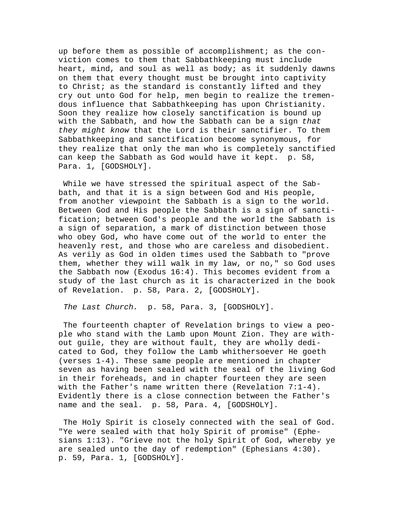up before them as possible of accomplishment; as the conviction comes to them that Sabbathkeeping must include heart, mind, and soul as well as body; as it suddenly dawns on them that every thought must be brought into captivity to Christ; as the standard is constantly lifted and they cry out unto God for help, men begin to realize the tremendous influence that Sabbathkeeping has upon Christianity. Soon they realize how closely sanctification is bound up with the Sabbath, and how the Sabbath can be a sign *that they might know* that the Lord is their sanctifier. To them Sabbathkeeping and sanctification become synonymous, for they realize that only the man who is completely sanctified can keep the Sabbath as God would have it kept. p. 58, Para. 1, [GODSHOLY].

 While we have stressed the spiritual aspect of the Sabbath, and that it is a sign between God and His people, from another viewpoint the Sabbath is a sign to the world. Between God and His people the Sabbath is a sign of sanctification; between God's people and the world the Sabbath is a sign of separation, a mark of distinction between those who obey God, who have come out of the world to enter the heavenly rest, and those who are careless and disobedient. As verily as God in olden times used the Sabbath to "prove them, whether they will walk in my law, or no," so God uses the Sabbath now (Exodus 16:4). This becomes evident from a study of the last church as it is characterized in the book of Revelation. p. 58, Para. 2, [GODSHOLY].

 *The Last Church.* p. 58, Para. 3, [GODSHOLY].

 The fourteenth chapter of Revelation brings to view a people who stand with the Lamb upon Mount Zion. They are without guile, they are without fault, they are wholly dedicated to God, they follow the Lamb whithersoever He goeth (verses 1-4). These same people are mentioned in chapter seven as having been sealed with the seal of the living God in their foreheads, and in chapter fourteen they are seen with the Father's name written there (Revelation 7:1-4). Evidently there is a close connection between the Father's name and the seal. p. 58, Para. 4, [GODSHOLY].

 The Holy Spirit is closely connected with the seal of God. "Ye were sealed with that holy Spirit of promise" (Ephesians 1:13). "Grieve not the holy Spirit of God, whereby ye are sealed unto the day of redemption" (Ephesians 4:30). p. 59, Para. 1, [GODSHOLY].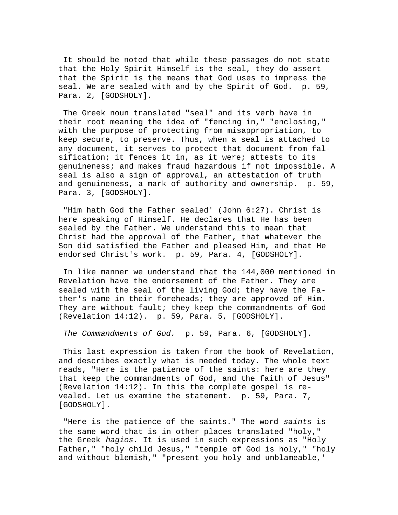It should be noted that while these passages do not state that the Holy Spirit Himself is the seal, they do assert that the Spirit is the means that God uses to impress the seal. We are sealed with and by the Spirit of God. p. 59, Para. 2, [GODSHOLY].

 The Greek noun translated "seal" and its verb have in their root meaning the idea of "fencing in," "enclosing," with the purpose of protecting from misappropriation, to keep secure, to preserve. Thus, when a seal is attached to any document, it serves to protect that document from falsification; it fences it in, as it were; attests to its genuineness; and makes fraud hazardous if not impossible. A seal is also a sign of approval, an attestation of truth and genuineness, a mark of authority and ownership. p. 59, Para. 3, [GODSHOLY].

 "Him hath God the Father sealed' (John 6:27). Christ is here speaking of Himself. He declares that He has been sealed by the Father. We understand this to mean that Christ had the approval of the Father, that whatever the Son did satisfied the Father and pleased Him, and that He endorsed Christ's work. p. 59, Para. 4, [GODSHOLY].

 In like manner we understand that the 144,000 mentioned in Revelation have the endorsement of the Father. They are sealed with the seal of the living God; they have the Father's name in their foreheads; they are approved of Him. They are without fault; they keep the commandments of God (Revelation 14:12). p. 59, Para. 5, [GODSHOLY].

 *The Commandments of God.* p. 59, Para. 6, [GODSHOLY].

 This last expression is taken from the book of Revelation, and describes exactly what is needed today. The whole text reads, "Here is the patience of the saints: here are they that keep the commandments of God, and the faith of Jesus" (Revelation 14:12). In this the complete gospel is revealed. Let us examine the statement. p. 59, Para. 7, [GODSHOLY].

 "Here is the patience of the saints." The word *saints* is the same word that is in other places translated "holy," the Greek *hagios.* It is used in such expressions as "Holy Father," "holy child Jesus," "temple of God is holy," "holy and without blemish," "present you holy and unblameable,'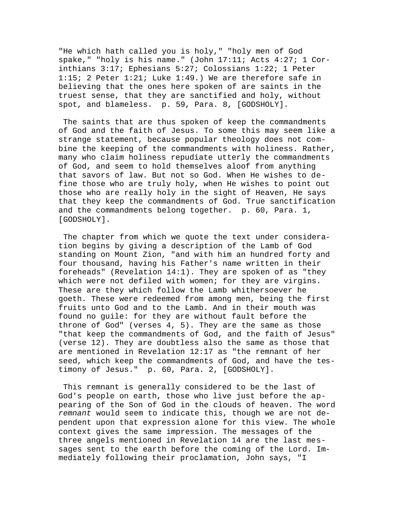"He which hath called you is holy," "holy men of God spake," "holy is his name." (John 17:11; Acts 4:27; 1 Corinthians 3:17; Ephesians 5:27; Colossians 1:22; 1 Peter 1:15; 2 Peter 1:21; Luke 1:49.) We are therefore safe in believing that the ones here spoken of are saints in the truest sense, that they are sanctified and holy, without spot, and blameless. p. 59, Para. 8, [GODSHOLY].

 The saints that are thus spoken of keep the commandments of God and the faith of Jesus. To some this may seem like a strange statement, because popular theology does not combine the keeping of the commandments with holiness. Rather, many who claim holiness repudiate utterly the commandments of God, and seem to hold themselves aloof from anything that savors of law. But not so God. When He wishes to define those who are truly holy, when He wishes to point out those who are really holy in the sight of Heaven, He says that they keep the commandments of God. True sanctification and the commandments belong together. p. 60, Para. 1, [GODSHOLY].

 The chapter from which we quote the text under consideration begins by giving a description of the Lamb of God standing on Mount Zion, "and with him an hundred forty and four thousand, having his Father's name written in their foreheads" (Revelation 14:1). They are spoken of as "they which were not defiled with women; for they are virgins. These are they which follow the Lamb whithersoever he goeth. These were redeemed from among men, being the first fruits unto God and to the Lamb. And in their mouth was found no guile: for they are without fault before the throne of God" (verses 4, 5). They are the same as those "that keep the commandments of God, and the faith of Jesus" (verse 12). They are doubtless also the same as those that are mentioned in Revelation 12:17 as "the remnant of her seed, which keep the commandments of God, and have the testimony of Jesus." p. 60, Para. 2, [GODSHOLY].

 This remnant is generally considered to be the last of God's people on earth, those who live just before the appearing of the Son of God in the clouds of heaven. The word *remnant* would seem to indicate this, though we are not dependent upon that expression alone for this view. The whole context gives the same impression. The messages of the three angels mentioned in Revelation 14 are the last messages sent to the earth before the coming of the Lord. Immediately following their proclamation, John says, "I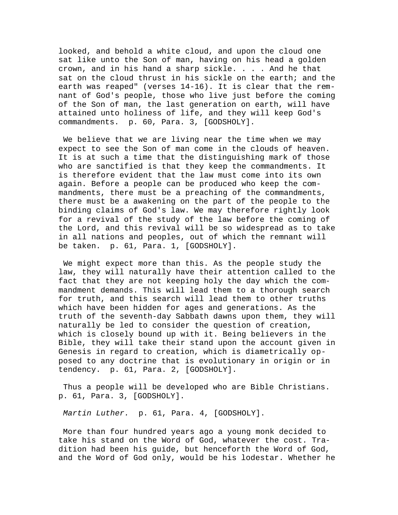looked, and behold a white cloud, and upon the cloud one sat like unto the Son of man, having on his head a golden crown, and in his hand a sharp sickle. . . . And he that sat on the cloud thrust in his sickle on the earth; and the earth was reaped" (verses 14-16). It is clear that the remnant of God's people, those who live just before the coming of the Son of man, the last generation on earth, will have attained unto holiness of life, and they will keep God's commandments. p. 60, Para. 3, [GODSHOLY].

 We believe that we are living near the time when we may expect to see the Son of man come in the clouds of heaven. It is at such a time that the distinguishing mark of those who are sanctified is that they keep the commandments. It is therefore evident that the law must come into its own again. Before a people can be produced who keep the commandments, there must be a preaching of the commandments, there must be a awakening on the part of the people to the binding claims of God's law. We may therefore rightly look for a revival of the study of the law before the coming of the Lord, and this revival will be so widespread as to take in all nations and peoples, out of which the remnant will be taken. p. 61, Para. 1, [GODSHOLY].

 We might expect more than this. As the people study the law, they will naturally have their attention called to the fact that they are not keeping holy the day which the commandment demands. This will lead them to a thorough search for truth, and this search will lead them to other truths which have been hidden for ages and generations. As the truth of the seventh-day Sabbath dawns upon them, they will naturally be led to consider the question of creation, which is closely bound up with it. Being believers in the Bible, they will take their stand upon the account given in Genesis in regard to creation, which is diametrically opposed to any doctrine that is evolutionary in origin or in tendency. p. 61, Para. 2, [GODSHOLY].

 Thus a people will be developed who are Bible Christians. p. 61, Para. 3, [GODSHOLY].

 *Martin Luther.* p. 61, Para. 4, [GODSHOLY].

 More than four hundred years ago a young monk decided to take his stand on the Word of God, whatever the cost. Tradition had been his guide, but henceforth the Word of God, and the Word of God only, would be his lodestar. Whether he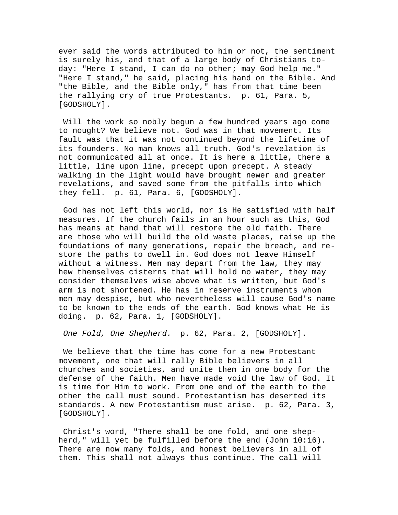ever said the words attributed to him or not, the sentiment is surely his, and that of a large body of Christians today: "Here I stand, I can do no other; may God help me." "Here I stand," he said, placing his hand on the Bible. And "the Bible, and the Bible only," has from that time been the rallying cry of true Protestants. p. 61, Para. 5, [GODSHOLY].

 Will the work so nobly begun a few hundred years ago come to nought? We believe not. God was in that movement. Its fault was that it was not continued beyond the lifetime of its founders. No man knows all truth. God's revelation is not communicated all at once. It is here a little, there a little, line upon line, precept upon precept. A steady walking in the light would have brought newer and greater revelations, and saved some from the pitfalls into which they fell. p. 61, Para. 6, [GODSHOLY].

 God has not left this world, nor is He satisfied with half measures. If the church fails in an hour such as this, God has means at hand that will restore the old faith. There are those who will build the old waste places, raise up the foundations of many generations, repair the breach, and restore the paths to dwell in. God does not leave Himself without a witness. Men may depart from the law, they may hew themselves cisterns that will hold no water, they may consider themselves wise above what is written, but God's arm is not shortened. He has in reserve instruments whom men may despise, but who nevertheless will cause God's name to be known to the ends of the earth. God knows what He is doing. p. 62, Para. 1, [GODSHOLY].

 *One Fold, One Shepherd.* p. 62, Para. 2, [GODSHOLY].

 We believe that the time has come for a new Protestant movement, one that will rally Bible believers in all churches and societies, and unite them in one body for the defense of the faith. Men have made void the law of God. It is time for Him to work. From one end of the earth to the other the call must sound. Protestantism has deserted its standards. A new Protestantism must arise. p. 62, Para. 3, [GODSHOLY].

 Christ's word, "There shall be one fold, and one shepherd," will yet be fulfilled before the end (John 10:16). There are now many folds, and honest believers in all of them. This shall not always thus continue. The call will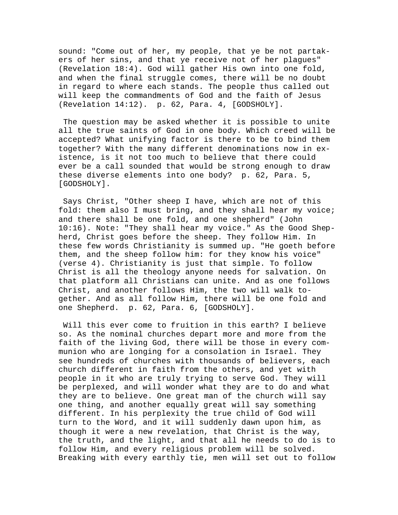sound: "Come out of her, my people, that ye be not partakers of her sins, and that ye receive not of her plagues" (Revelation 18:4). God will gather His own into one fold, and when the final struggle comes, there will be no doubt in regard to where each stands. The people thus called out will keep the commandments of God and the faith of Jesus (Revelation 14:12). p. 62, Para. 4, [GODSHOLY].

 The question may be asked whether it is possible to unite all the true saints of God in one body. Which creed will be accepted? What unifying factor is there to be to bind them together? With the many different denominations now in existence, is it not too much to believe that there could ever be a call sounded that would be strong enough to draw these diverse elements into one body? p. 62, Para. 5, [GODSHOLY].

 Says Christ, "Other sheep I have, which are not of this fold: them also I must bring, and they shall hear my voice; and there shall be one fold, and one shepherd" (John 10:16). Note: "They shall hear my voice." As the Good Shepherd, Christ goes before the sheep. They follow Him. In these few words Christianity is summed up. "He goeth before them, and the sheep follow him: for they know his voice" (verse 4). Christianity is just that simple. To follow Christ is all the theology anyone needs for salvation. On that platform all Christians can unite. And as one follows Christ, and another follows Him, the two will walk together. And as all follow Him, there will be one fold and one Shepherd. p. 62, Para. 6, [GODSHOLY].

 Will this ever come to fruition in this earth? I believe so. As the nominal churches depart more and more from the faith of the living God, there will be those in every communion who are longing for a consolation in Israel. They see hundreds of churches with thousands of believers, each church different in faith from the others, and yet with people in it who are truly trying to serve God. They will be perplexed, and will wonder what they are to do and what they are to believe. One great man of the church will say one thing, and another equally great will say something different. In his perplexity the true child of God will turn to the Word, and it will suddenly dawn upon him, as though it were a new revelation, that Christ is the way, the truth, and the light, and that all he needs to do is to follow Him, and every religious problem will be solved. Breaking with every earthly tie, men will set out to follow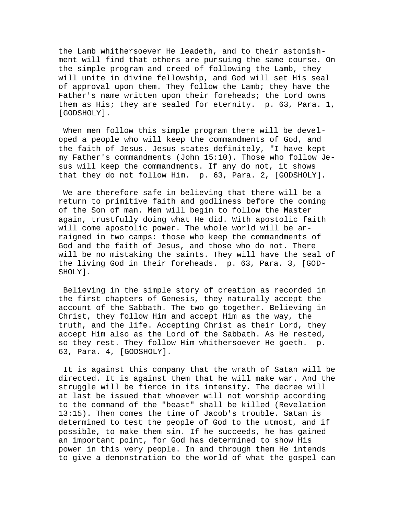the Lamb whithersoever He leadeth, and to their astonishment will find that others are pursuing the same course. On the simple program and creed of following the Lamb, they will unite in divine fellowship, and God will set His seal of approval upon them. They follow the Lamb; they have the Father's name written upon their foreheads; the Lord owns them as His; they are sealed for eternity. p. 63, Para. 1, [GODSHOLY].

 When men follow this simple program there will be developed a people who will keep the commandments of God, and the faith of Jesus. Jesus states definitely, "I have kept my Father's commandments (John 15:10). Those who follow Jesus will keep the commandments. If any do not, it shows that they do not follow Him. p. 63, Para. 2, [GODSHOLY].

 We are therefore safe in believing that there will be a return to primitive faith and godliness before the coming of the Son of man. Men will begin to follow the Master again, trustfully doing what He did. With apostolic faith will come apostolic power. The whole world will be arraigned in two camps: those who keep the commandments of God and the faith of Jesus, and those who do not. There will be no mistaking the saints. They will have the seal of the living God in their foreheads. p. 63, Para. 3, [GOD-SHOLY].

 Believing in the simple story of creation as recorded in the first chapters of Genesis, they naturally accept the account of the Sabbath. The two go together. Believing in Christ, they follow Him and accept Him as the way, the truth, and the life. Accepting Christ as their Lord, they accept Him also as the Lord of the Sabbath. As He rested, so they rest. They follow Him whithersoever He goeth. p. 63, Para. 4, [GODSHOLY].

 It is against this company that the wrath of Satan will be directed. It is against them that he will make war. And the struggle will be fierce in its intensity. The decree will at last be issued that whoever will not worship according to the command of the "beast" shall be killed (Revelation 13:15). Then comes the time of Jacob's trouble. Satan is determined to test the people of God to the utmost, and if possible, to make them sin. If he succeeds, he has gained an important point, for God has determined to show His power in this very people. In and through them He intends to give a demonstration to the world of what the gospel can